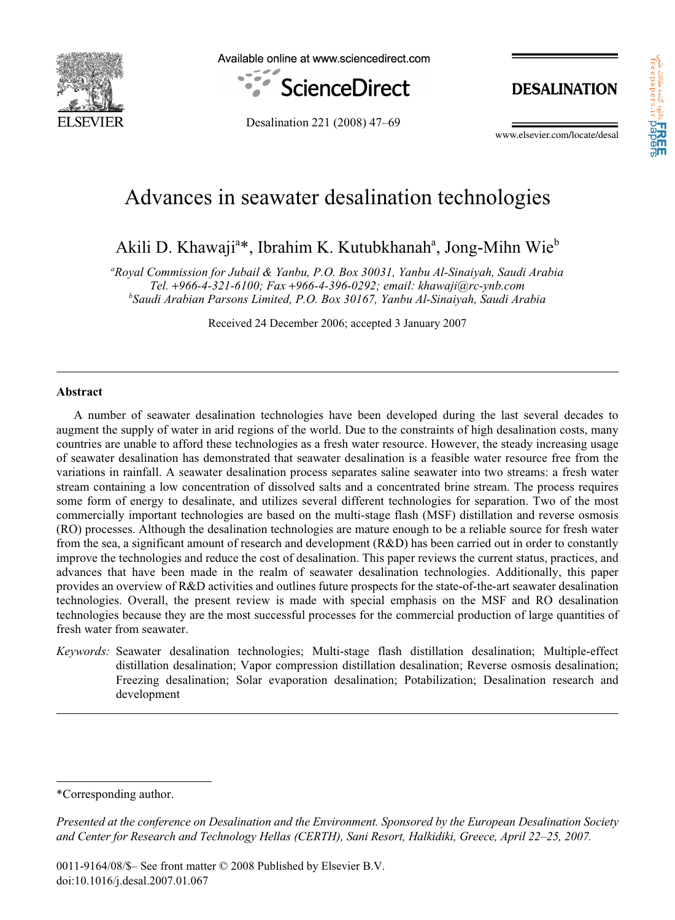

Available online at www.sciencedirect.com



**DESALINATION** 

Desalination 221 (2008) 47–69

www.elsevier.com/locate/desal

# Advances in seawater desalination technologies

Akili D. Khawaji<sup>a\*</sup>, Ibrahim K. Kutubkhanah<sup>a</sup>, Jong-Mihn Wie<sup>b</sup>

*a Royal Commission for Jubail & Yanbu, P.O. Box 30031, Yanbu Al-Sinaiyah, Saudi Arabia Tel. +966-4-321-6100; Fax +966-4-396-0292; email: khawaji@rc-ynb.com b Saudi Arabian Parsons Limited, P.O. Box 30167, Yanbu Al-Sinaiyah, Saudi Arabia* 

Received 24 December 2006; accepted 3 January 2007

#### **Abstract**

A number of seawater desalination technologies have been developed during the last several decades to augment the supply of water in arid regions of the world. Due to the constraints of high desalination costs, many countries are unable to afford these technologies as a fresh water resource. However, the steady increasing usage of seawater desalination has demonstrated that seawater desalination is a feasible water resource free from the variations in rainfall. A seawater desalination process separates saline seawater into two streams: a fresh water stream containing a low concentration of dissolved salts and a concentrated brine stream. The process requires some form of energy to desalinate, and utilizes several different technologies for separation. Two of the most commercially important technologies are based on the multi-stage flash (MSF) distillation and reverse osmosis (RO) processes. Although the desalination technologies are mature enough to be a reliable source for fresh water from the sea, a significant amount of research and development (R&D) has been carried out in order to constantly improve the technologies and reduce the cost of desalination. This paper reviews the current status, practices, and advances that have been made in the realm of seawater desalination technologies. Additionally, this paper provides an overview of R&D activities and outlines future prospects for the state-of-the-art seawater desalination technologies. Overall, the present review is made with special emphasis on the MSF and RO desalination technologies because they are the most successful processes for the commercial production of large quantities of fresh water from seawater.

*Keywords:* Seawater desalination technologies; Multi-stage flash distillation desalination; Multiple-effect distillation desalination; Vapor compression distillation desalination; Reverse osmosis desalination; Freezing desalination; Solar evaporation desalination; Potabilization; Desalination research and development

<sup>\*</sup>Corresponding author.

*Presented at the conference on Desalination and the Environment. Sponsored by the European Desalination Society and Center for Research and Technology Hellas (CERTH), Sani Resort, Halkidiki, Greece, April 22–25, 2007.*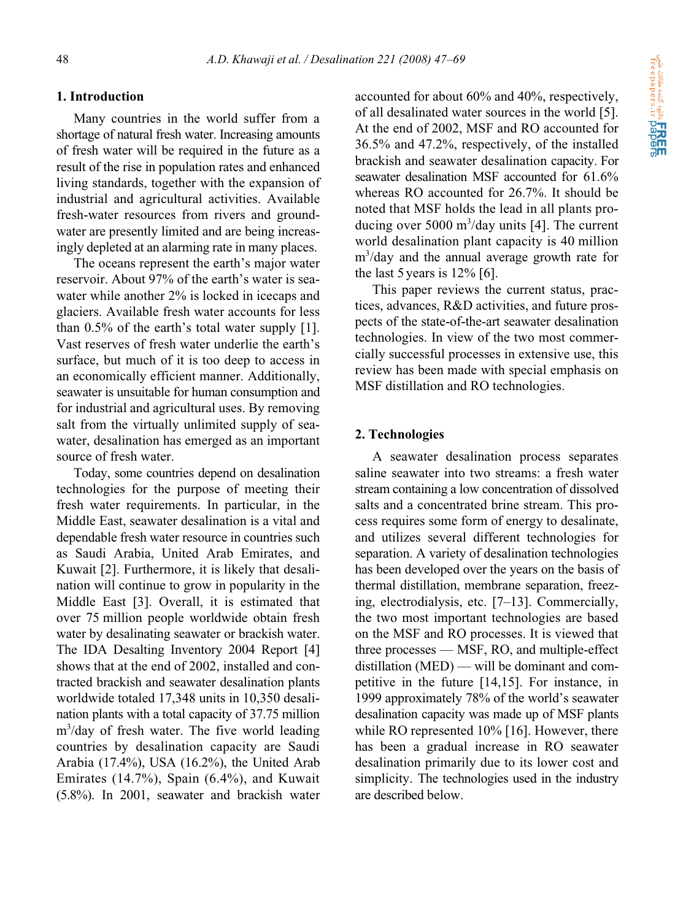## **1. Introduction**

Many countries in the world suffer from a shortage of natural fresh water. Increasing amounts of fresh water will be required in the future as a result of the rise in population rates and enhanced living standards, together with the expansion of industrial and agricultural activities. Available fresh-water resources from rivers and groundwater are presently limited and are being increasingly depleted at an alarming rate in many places.

The oceans represent the earth's major water reservoir. About 97% of the earth's water is seawater while another 2% is locked in icecaps and glaciers. Available fresh water accounts for less than 0.5% of the earth's total water supply [1]. Vast reserves of fresh water underlie the earth's surface, but much of it is too deep to access in an economically efficient manner. Additionally, seawater is unsuitable for human consumption and for industrial and agricultural uses. By removing salt from the virtually unlimited supply of seawater, desalination has emerged as an important source of fresh water.

Today, some countries depend on desalination technologies for the purpose of meeting their fresh water requirements. In particular, in the Middle East, seawater desalination is a vital and dependable fresh water resource in countries such as Saudi Arabia, United Arab Emirates, and Kuwait [2]. Furthermore, it is likely that desalination will continue to grow in popularity in the Middle East [3]. Overall, it is estimated that over 75 million people worldwide obtain fresh water by desalinating seawater or brackish water. The IDA Desalting Inventory 2004 Report [4] shows that at the end of 2002, installed and contracted brackish and seawater desalination plants worldwide totaled 17,348 units in 10,350 desalination plants with a total capacity of 37.75 million m3 /day of fresh water. The five world leading countries by desalination capacity are Saudi Arabia (17.4%), USA (16.2%), the United Arab Emirates (14.7%), Spain (6.4%), and Kuwait (5.8%). In 2001, seawater and brackish water accounted for about 60% and 40%, respectively, of all desalinated water sources in the world [5]. At the end of 2002, MSF and RO accounted for 36.5% and 47.2%, respectively, of the installed brackish and seawater desalination capacity. For seawater desalination MSF accounted for 61.6% whereas RO accounted for 26.7%. It should be noted that MSF holds the lead in all plants producing over 5000  $m^3$ /day units [4]. The current world desalination plant capacity is 40 million m3 /day and the annual average growth rate for the last 5 years is  $12\%$  [6].

This paper reviews the current status, practices, advances, R&D activities, and future prospects of the state-of-the-art seawater desalination technologies. In view of the two most commercially successful processes in extensive use, this review has been made with special emphasis on MSF distillation and RO technologies.

#### **2. Technologies**

A seawater desalination process separates saline seawater into two streams: a fresh water stream containing a low concentration of dissolved salts and a concentrated brine stream. This process requires some form of energy to desalinate, and utilizes several different technologies for separation. A variety of desalination technologies has been developed over the years on the basis of thermal distillation, membrane separation, freezing, electrodialysis, etc. [7–13]. Commercially, the two most important technologies are based on the MSF and RO processes. It is viewed that three processes — MSF, RO, and multiple-effect distillation (MED) — will be dominant and competitive in the future [14,15]. For instance, in 1999 approximately 78% of the world's seawater desalination capacity was made up of MSF plants while RO represented 10% [16]. However, there has been a gradual increase in RO seawater desalination primarily due to its lower cost and simplicity. The technologies used in the industry are described below.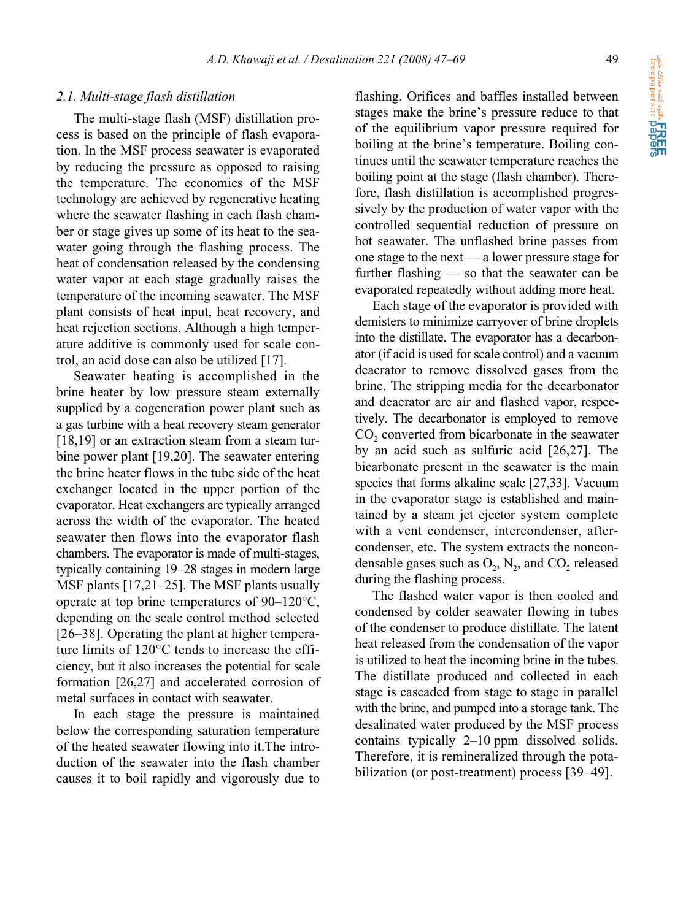#### *2.1. Multi-stage flash distillation*

The multi-stage flash (MSF) distillation process is based on the principle of flash evaporation. In the MSF process seawater is evaporated by reducing the pressure as opposed to raising the temperature. The economies of the MSF technology are achieved by regenerative heating where the seawater flashing in each flash chamber or stage gives up some of its heat to the seawater going through the flashing process. The heat of condensation released by the condensing water vapor at each stage gradually raises the temperature of the incoming seawater. The MSF plant consists of heat input, heat recovery, and heat rejection sections. Although a high temperature additive is commonly used for scale control, an acid dose can also be utilized [17].

Seawater heating is accomplished in the brine heater by low pressure steam externally supplied by a cogeneration power plant such as a gas turbine with a heat recovery steam generator [18,19] or an extraction steam from a steam turbine power plant [19,20]. The seawater entering the brine heater flows in the tube side of the heat exchanger located in the upper portion of the evaporator. Heat exchangers are typically arranged across the width of the evaporator. The heated seawater then flows into the evaporator flash chambers. The evaporator is made of multi-stages, typically containing 19–28 stages in modern large MSF plants [17,21–25]. The MSF plants usually operate at top brine temperatures of 90–120°C, depending on the scale control method selected [26–38]. Operating the plant at higher temperature limits of 120°C tends to increase the efficiency, but it also increases the potential for scale formation [26,27] and accelerated corrosion of metal surfaces in contact with seawater.

In each stage the pressure is maintained below the corresponding saturation temperature of the heated seawater flowing into it.The introduction of the seawater into the flash chamber causes it to boil rapidly and vigorously due to flashing. Orifices and baffles installed between stages make the brine's pressure reduce to that of the equilibrium vapor pressure required for boiling at the brine's temperature. Boiling continues until the seawater temperature reaches the boiling point at the stage (flash chamber). Therefore, flash distillation is accomplished progressively by the production of water vapor with the controlled sequential reduction of pressure on hot seawater. The unflashed brine passes from one stage to the next — a lower pressure stage for further flashing — so that the seawater can be evaporated repeatedly without adding more heat.

Each stage of the evaporator is provided with demisters to minimize carryover of brine droplets into the distillate. The evaporator has a decarbonator (if acid is used for scale control) and a vacuum deaerator to remove dissolved gases from the brine. The stripping media for the decarbonator and deaerator are air and flashed vapor, respectively. The decarbonator is employed to remove CO<sub>2</sub> converted from bicarbonate in the seawater by an acid such as sulfuric acid [26,27]. The bicarbonate present in the seawater is the main species that forms alkaline scale [27,33]. Vacuum in the evaporator stage is established and maintained by a steam jet ejector system complete with a vent condenser, intercondenser, aftercondenser, etc. The system extracts the noncondensable gases such as  $O_2$ ,  $N_2$ , and  $CO_2$  released during the flashing process.

The flashed water vapor is then cooled and condensed by colder seawater flowing in tubes of the condenser to produce distillate. The latent heat released from the condensation of the vapor is utilized to heat the incoming brine in the tubes. The distillate produced and collected in each stage is cascaded from stage to stage in parallel with the brine, and pumped into a storage tank. The desalinated water produced by the MSF process contains typically 2–10 ppm dissolved solids. Therefore, it is remineralized through the potabilization (or post-treatment) process [39–49].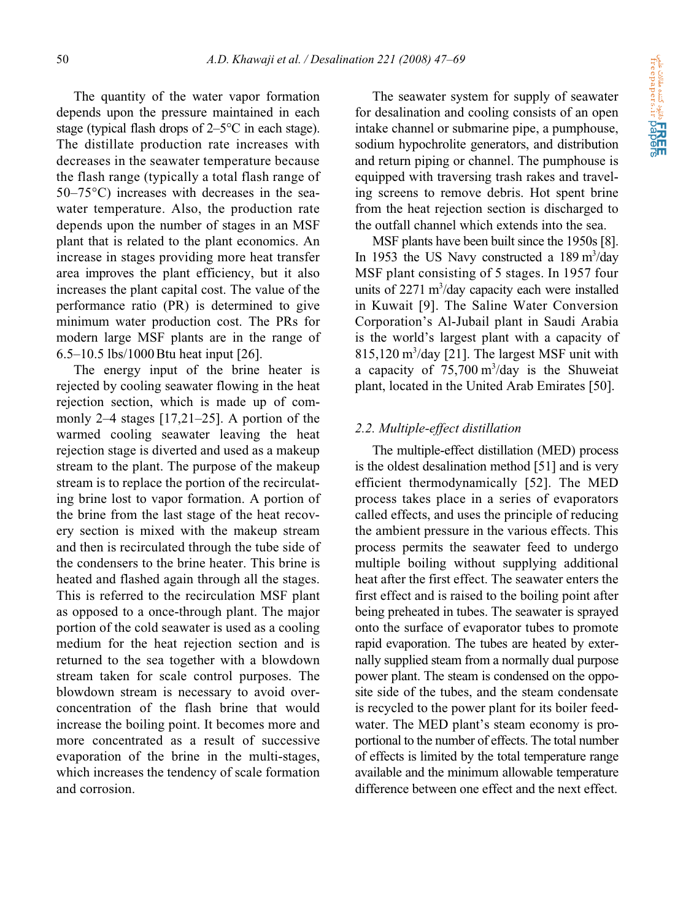The quantity of the water vapor formation depends upon the pressure maintained in each stage (typical flash drops of 2–5°C in each stage). The distillate production rate increases with decreases in the seawater temperature because the flash range (typically a total flash range of 50–75°C) increases with decreases in the seawater temperature. Also, the production rate depends upon the number of stages in an MSF plant that is related to the plant economics. An increase in stages providing more heat transfer area improves the plant efficiency, but it also increases the plant capital cost. The value of the performance ratio (PR) is determined to give minimum water production cost. The PRs for modern large MSF plants are in the range of 6.5–10.5 lbs/1000 Btu heat input [26].

The energy input of the brine heater is rejected by cooling seawater flowing in the heat rejection section, which is made up of commonly 2–4 stages [17,21–25]. A portion of the warmed cooling seawater leaving the heat rejection stage is diverted and used as a makeup stream to the plant. The purpose of the makeup stream is to replace the portion of the recirculating brine lost to vapor formation. A portion of the brine from the last stage of the heat recovery section is mixed with the makeup stream and then is recirculated through the tube side of the condensers to the brine heater. This brine is heated and flashed again through all the stages. This is referred to the recirculation MSF plant as opposed to a once-through plant. The major portion of the cold seawater is used as a cooling medium for the heat rejection section and is returned to the sea together with a blowdown stream taken for scale control purposes. The blowdown stream is necessary to avoid overconcentration of the flash brine that would increase the boiling point. It becomes more and more concentrated as a result of successive evaporation of the brine in the multi-stages, which increases the tendency of scale formation and corrosion.

The seawater system for supply of seawater for desalination and cooling consists of an open intake channel or submarine pipe, a pumphouse, sodium hypochrolite generators, and distribution and return piping or channel. The pumphouse is equipped with traversing trash rakes and traveling screens to remove debris. Hot spent brine from the heat rejection section is discharged to the outfall channel which extends into the sea.

MSF plants have been built since the 1950s [8]. In 1953 the US Navy constructed a  $189 \text{ m}^3/\text{day}$ MSF plant consisting of 5 stages. In 1957 four units of  $2271 \text{ m}^3/\text{day}$  capacity each were installed in Kuwait [9]. The Saline Water Conversion Corporation's Al-Jubail plant in Saudi Arabia is the world's largest plant with a capacity of 815,120 m<sup>3</sup>/day [21]. The largest MSF unit with a capacity of  $75,700 \text{ m}^3/\text{day}$  is the Shuweiat plant, located in the United Arab Emirates [50].

# *2.2. Multiple-effect distillation*

The multiple-effect distillation (MED) process is the oldest desalination method [51] and is very efficient thermodynamically [52]. The MED process takes place in a series of evaporators called effects, and uses the principle of reducing the ambient pressure in the various effects. This process permits the seawater feed to undergo multiple boiling without supplying additional heat after the first effect. The seawater enters the first effect and is raised to the boiling point after being preheated in tubes. The seawater is sprayed onto the surface of evaporator tubes to promote rapid evaporation. The tubes are heated by externally supplied steam from a normally dual purpose power plant. The steam is condensed on the opposite side of the tubes, and the steam condensate is recycled to the power plant for its boiler feedwater. The MED plant's steam economy is proportional to the number of effects. The total number of effects is limited by the total temperature range available and the minimum allowable temperature difference between one effect and the next effect.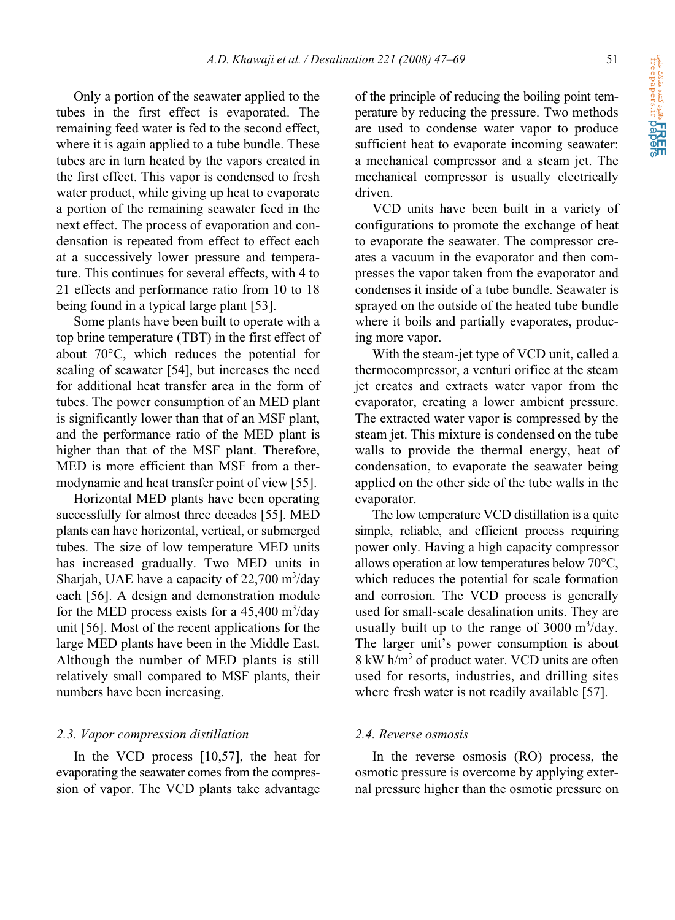Only a portion of the seawater applied to the tubes in the first effect is evaporated. The remaining feed water is fed to the second effect, where it is again applied to a tube bundle. These tubes are in turn heated by the vapors created in the first effect. This vapor is condensed to fresh water product, while giving up heat to evaporate a portion of the remaining seawater feed in the next effect. The process of evaporation and condensation is repeated from effect to effect each at a successively lower pressure and temperature. This continues for several effects, with 4 to 21 effects and performance ratio from 10 to 18 being found in a typical large plant [53].

Some plants have been built to operate with a top brine temperature (TBT) in the first effect of about 70°C, which reduces the potential for scaling of seawater [54], but increases the need for additional heat transfer area in the form of tubes. The power consumption of an MED plant is significantly lower than that of an MSF plant, and the performance ratio of the MED plant is higher than that of the MSF plant. Therefore, MED is more efficient than MSF from a thermodynamic and heat transfer point of view [55].

Horizontal MED plants have been operating successfully for almost three decades [55]. MED plants can have horizontal, vertical, or submerged tubes. The size of low temperature MED units has increased gradually. Two MED units in Sharjah, UAE have a capacity of  $22,700 \text{ m}^3/\text{day}$ each [56]. A design and demonstration module for the MED process exists for a  $45,400 \text{ m}^3/\text{day}$ unit [56]. Most of the recent applications for the large MED plants have been in the Middle East. Although the number of MED plants is still relatively small compared to MSF plants, their numbers have been increasing.

#### *2.3. Vapor compression distillation*

In the VCD process [10,57], the heat for evaporating the seawater comes from the compression of vapor. The VCD plants take advantage of the principle of reducing the boiling point temperature by reducing the pressure. Two methods are used to condense water vapor to produce sufficient heat to evaporate incoming seawater: a mechanical compressor and a steam jet. The mechanical compressor is usually electrically driven.

VCD units have been built in a variety of configurations to promote the exchange of heat to evaporate the seawater. The compressor creates a vacuum in the evaporator and then compresses the vapor taken from the evaporator and condenses it inside of a tube bundle. Seawater is sprayed on the outside of the heated tube bundle where it boils and partially evaporates, producing more vapor.

With the steam-jet type of VCD unit, called a thermocompressor, a venturi orifice at the steam jet creates and extracts water vapor from the evaporator, creating a lower ambient pressure. The extracted water vapor is compressed by the steam jet. This mixture is condensed on the tube walls to provide the thermal energy, heat of condensation, to evaporate the seawater being applied on the other side of the tube walls in the evaporator.

The low temperature VCD distillation is a quite simple, reliable, and efficient process requiring power only. Having a high capacity compressor allows operation at low temperatures below 70°C, which reduces the potential for scale formation and corrosion. The VCD process is generally used for small-scale desalination units. They are usually built up to the range of  $3000 \text{ m}^3/\text{day}$ . The larger unit's power consumption is about 8 kW h/m<sup>3</sup> of product water. VCD units are often used for resorts, industries, and drilling sites where fresh water is not readily available [57].

#### *2.4. Reverse osmosis*

In the reverse osmosis (RO) process, the osmotic pressure is overcome by applying external pressure higher than the osmotic pressure on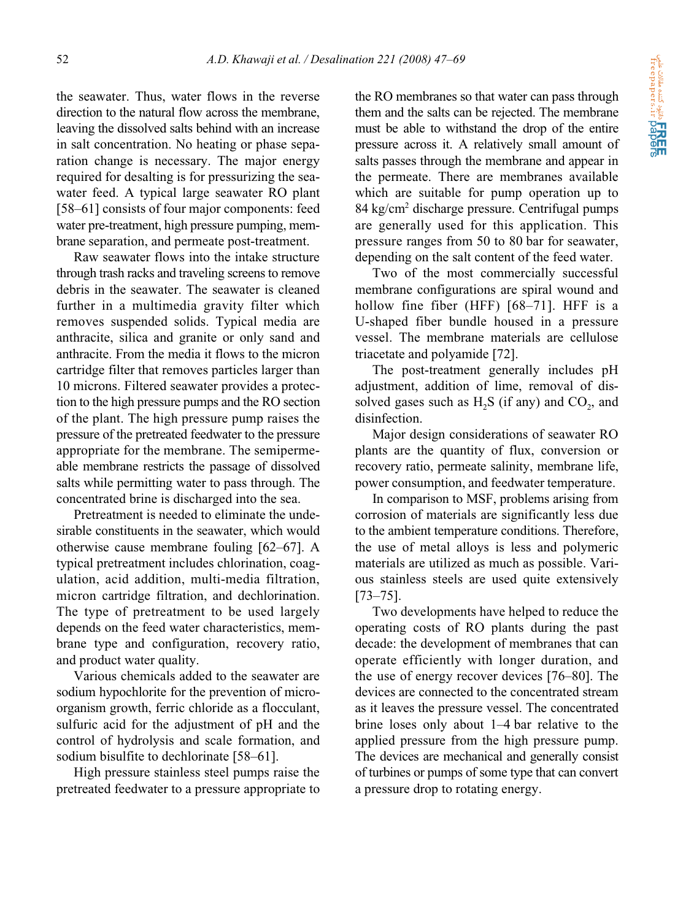the seawater. Thus, water flows in the reverse direction to the natural flow across the membrane, leaving the dissolved salts behind with an increase in salt concentration. No heating or phase separation change is necessary. The major energy required for desalting is for pressurizing the seawater feed. A typical large seawater RO plant [58–61] consists of four major components: feed water pre-treatment, high pressure pumping, membrane separation, and permeate post-treatment.

Raw seawater flows into the intake structure through trash racks and traveling screens to remove debris in the seawater. The seawater is cleaned further in a multimedia gravity filter which removes suspended solids. Typical media are anthracite, silica and granite or only sand and anthracite. From the media it flows to the micron cartridge filter that removes particles larger than 10 microns. Filtered seawater provides a protection to the high pressure pumps and the RO section of the plant. The high pressure pump raises the pressure of the pretreated feedwater to the pressure appropriate for the membrane. The semipermeable membrane restricts the passage of dissolved salts while permitting water to pass through. The concentrated brine is discharged into the sea.

Pretreatment is needed to eliminate the undesirable constituents in the seawater, which would otherwise cause membrane fouling [62–67]. A typical pretreatment includes chlorination, coagulation, acid addition, multi-media filtration, micron cartridge filtration, and dechlorination. The type of pretreatment to be used largely depends on the feed water characteristics, membrane type and configuration, recovery ratio, and product water quality.

Various chemicals added to the seawater are sodium hypochlorite for the prevention of microorganism growth, ferric chloride as a flocculant, sulfuric acid for the adjustment of pH and the control of hydrolysis and scale formation, and sodium bisulfite to dechlorinate [58–61].

High pressure stainless steel pumps raise the pretreated feedwater to a pressure appropriate to the RO membranes so that water can pass through them and the salts can be rejected. The membrane must be able to withstand the drop of the entire pressure across it. A relatively small amount of salts passes through the membrane and appear in the permeate. There are membranes available which are suitable for pump operation up to 84 kg/cm2 discharge pressure. Centrifugal pumps are generally used for this application. This pressure ranges from 50 to 80 bar for seawater, depending on the salt content of the feed water.

Two of the most commercially successful membrane configurations are spiral wound and hollow fine fiber (HFF) [68-71]. HFF is a U-shaped fiber bundle housed in a pressure vessel. The membrane materials are cellulose triacetate and polyamide [72].

The post-treatment generally includes pH adjustment, addition of lime, removal of dissolved gases such as  $H_2S$  (if any) and  $CO_2$ , and disinfection.

Major design considerations of seawater RO plants are the quantity of flux, conversion or recovery ratio, permeate salinity, membrane life, power consumption, and feedwater temperature.

In comparison to MSF, problems arising from corrosion of materials are significantly less due to the ambient temperature conditions. Therefore, the use of metal alloys is less and polymeric materials are utilized as much as possible. Various stainless steels are used quite extensively [73–75].

Two developments have helped to reduce the operating costs of RO plants during the past decade: the development of membranes that can operate efficiently with longer duration, and the use of energy recover devices [76–80]. The devices are connected to the concentrated stream as it leaves the pressure vessel. The concentrated brine loses only about 1–4 bar relative to the applied pressure from the high pressure pump. The devices are mechanical and generally consist of turbines or pumps of some type that can convert a pressure drop to rotating energy.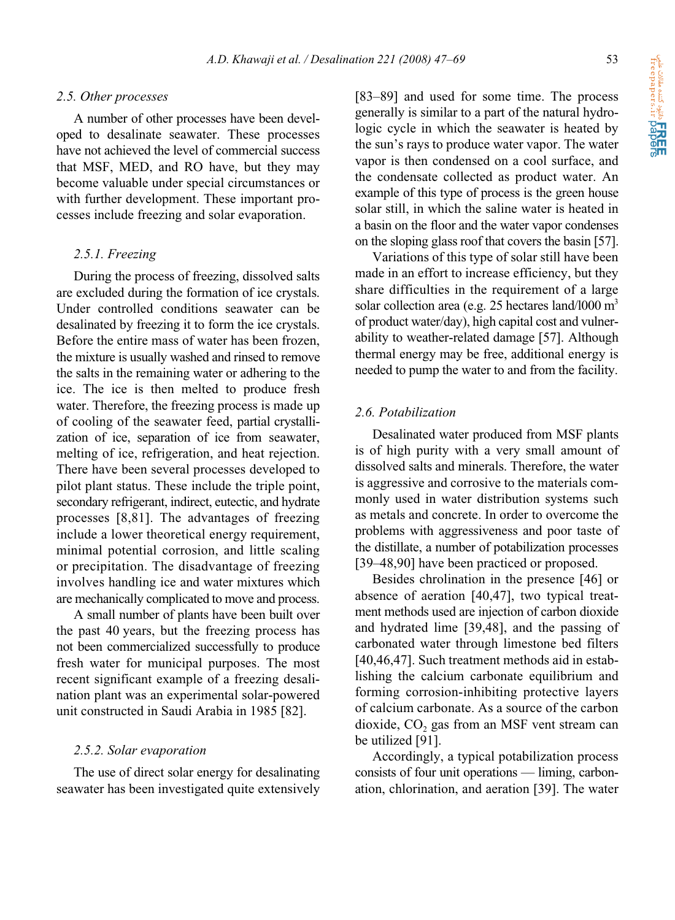#### *2.5. Other processes*

A number of other processes have been developed to desalinate seawater. These processes have not achieved the level of commercial success that MSF, MED, and RO have, but they may become valuable under special circumstances or with further development. These important processes include freezing and solar evaporation.

#### *2.5.1. Freezing*

During the process of freezing, dissolved salts are excluded during the formation of ice crystals. Under controlled conditions seawater can be desalinated by freezing it to form the ice crystals. Before the entire mass of water has been frozen, the mixture is usually washed and rinsed to remove the salts in the remaining water or adhering to the ice. The ice is then melted to produce fresh water. Therefore, the freezing process is made up of cooling of the seawater feed, partial crystallization of ice, separation of ice from seawater, melting of ice, refrigeration, and heat rejection. There have been several processes developed to pilot plant status. These include the triple point, secondary refrigerant, indirect, eutectic, and hydrate processes [8,81]. The advantages of freezing include a lower theoretical energy requirement, minimal potential corrosion, and little scaling or precipitation. The disadvantage of freezing involves handling ice and water mixtures which are mechanically complicated to move and process.

A small number of plants have been built over the past 40 years, but the freezing process has not been commercialized successfully to produce fresh water for municipal purposes. The most recent significant example of a freezing desalination plant was an experimental solar-powered unit constructed in Saudi Arabia in 1985 [82].

#### *2.5.2. Solar evaporation*

The use of direct solar energy for desalinating seawater has been investigated quite extensively [83–89] and used for some time. The process generally is similar to a part of the natural hydrologic cycle in which the seawater is heated by the sun's rays to produce water vapor. The water vapor is then condensed on a cool surface, and the condensate collected as product water. An example of this type of process is the green house solar still, in which the saline water is heated in a basin on the floor and the water vapor condenses on the sloping glass roof that covers the basin [57].

Variations of this type of solar still have been made in an effort to increase efficiency, but they share difficulties in the requirement of a large solar collection area (e.g. 25 hectares land/l000  $m<sup>3</sup>$ of product water/day), high capital cost and vulnerability to weather-related damage [57]. Although thermal energy may be free, additional energy is needed to pump the water to and from the facility.

### *2.6. Potabilization*

Desalinated water produced from MSF plants is of high purity with a very small amount of dissolved salts and minerals. Therefore, the water is aggressive and corrosive to the materials commonly used in water distribution systems such as metals and concrete. In order to overcome the problems with aggressiveness and poor taste of the distillate, a number of potabilization processes [39–48,90] have been practiced or proposed.

Besides chrolination in the presence [46] or absence of aeration [40,47], two typical treatment methods used are injection of carbon dioxide and hydrated lime [39,48], and the passing of carbonated water through limestone bed filters [40,46,47]. Such treatment methods aid in establishing the calcium carbonate equilibrium and forming corrosion-inhibiting protective layers of calcium carbonate. As a source of the carbon dioxide, CO<sub>2</sub> gas from an MSF vent stream can be utilized [91].

Accordingly, a typical potabilization process consists of four unit operations — liming, carbonation, chlorination, and aeration [39]. The water Cate Covia ours opers FREE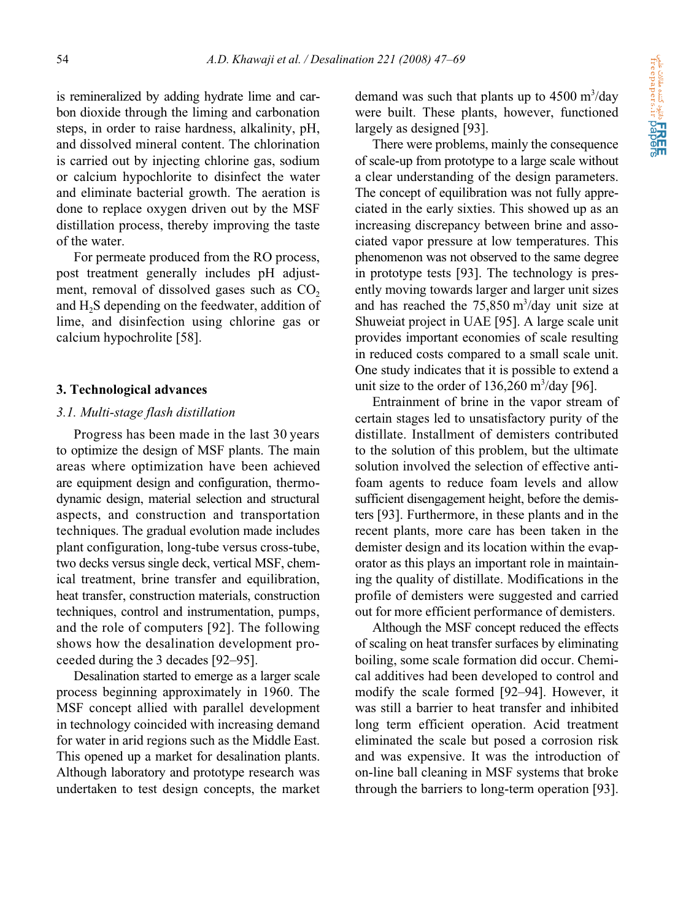is remineralized by adding hydrate lime and carbon dioxide through the liming and carbonation steps, in order to raise hardness, alkalinity, pH, and dissolved mineral content. The chlorination is carried out by injecting chlorine gas, sodium or calcium hypochlorite to disinfect the water and eliminate bacterial growth. The aeration is done to replace oxygen driven out by the MSF distillation process, thereby improving the taste of the water.

For permeate produced from the RO process, post treatment generally includes pH adjustment, removal of dissolved gases such as  $CO<sub>2</sub>$ and H<sub>2</sub>S depending on the feedwater, addition of lime, and disinfection using chlorine gas or calcium hypochrolite [58].

#### **3. Technological advances**

#### *3.1. Multi-stage flash distillation*

Progress has been made in the last 30 years to optimize the design of MSF plants. The main areas where optimization have been achieved are equipment design and configuration, thermodynamic design, material selection and structural aspects, and construction and transportation techniques. The gradual evolution made includes plant configuration, long-tube versus cross-tube, two decks versus single deck, vertical MSF, chemical treatment, brine transfer and equilibration, heat transfer, construction materials, construction techniques, control and instrumentation, pumps, and the role of computers [92]. The following shows how the desalination development proceeded during the 3 decades [92–95].

Desalination started to emerge as a larger scale process beginning approximately in 1960. The MSF concept allied with parallel development in technology coincided with increasing demand for water in arid regions such as the Middle East. This opened up a market for desalination plants. Although laboratory and prototype research was undertaken to test design concepts, the market demand was such that plants up to  $4500 \text{ m}^3/\text{day}$ were built. These plants, however, functioned largely as designed [93].

There were problems, mainly the consequence of scale-up from prototype to a large scale without a clear understanding of the design parameters. The concept of equilibration was not fully appreciated in the early sixties. This showed up as an increasing discrepancy between brine and associated vapor pressure at low temperatures. This phenomenon was not observed to the same degree in prototype tests [93]. The technology is presently moving towards larger and larger unit sizes and has reached the  $75,850 \text{ m}^3/\text{day}$  unit size at Shuweiat project in UAE [95]. A large scale unit provides important economies of scale resulting in reduced costs compared to a small scale unit. One study indicates that it is possible to extend a unit size to the order of  $136,260 \text{ m}^3/\text{day}$  [96].

Entrainment of brine in the vapor stream of certain stages led to unsatisfactory purity of the distillate. Installment of demisters contributed to the solution of this problem, but the ultimate solution involved the selection of effective antifoam agents to reduce foam levels and allow sufficient disengagement height, before the demisters [93]. Furthermore, in these plants and in the recent plants, more care has been taken in the demister design and its location within the evaporator as this plays an important role in maintaining the quality of distillate. Modifications in the profile of demisters were suggested and carried out for more efficient performance of demisters.

Although the MSF concept reduced the effects of scaling on heat transfer surfaces by eliminating boiling, some scale formation did occur. Chemical additives had been developed to control and modify the scale formed [92–94]. However, it was still a barrier to heat transfer and inhibited long term efficient operation. Acid treatment eliminated the scale but posed a corrosion risk and was expensive. It was the introduction of on-line ball cleaning in MSF systems that broke through the barriers to long-term operation [93].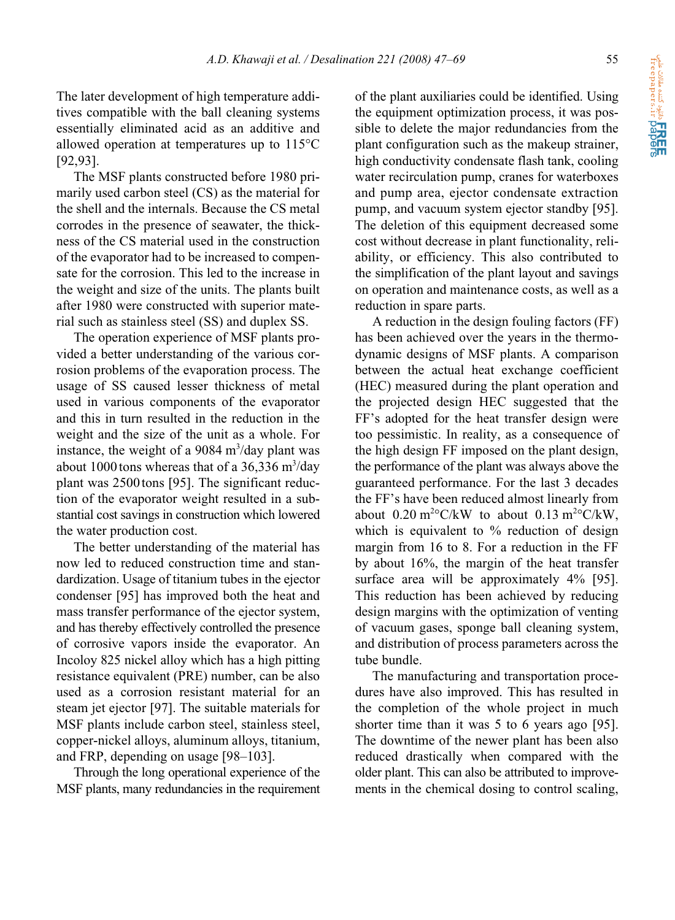The later development of high temperature additives compatible with the ball cleaning systems essentially eliminated acid as an additive and allowed operation at temperatures up to 115°C [92,93].

The MSF plants constructed before 1980 primarily used carbon steel (CS) as the material for the shell and the internals. Because the CS metal corrodes in the presence of seawater, the thickness of the CS material used in the construction of the evaporator had to be increased to compensate for the corrosion. This led to the increase in the weight and size of the units. The plants built after 1980 were constructed with superior material such as stainless steel (SS) and duplex SS.

The operation experience of MSF plants provided a better understanding of the various corrosion problems of the evaporation process. The usage of SS caused lesser thickness of metal used in various components of the evaporator and this in turn resulted in the reduction in the weight and the size of the unit as a whole. For instance, the weight of a  $9084 \text{ m}^3/\text{day}$  plant was about 1000 tons whereas that of a  $36,336$  m<sup>3</sup>/day plant was 2500 tons [95]. The significant reduction of the evaporator weight resulted in a substantial cost savings in construction which lowered the water production cost.

The better understanding of the material has now led to reduced construction time and standardization. Usage of titanium tubes in the ejector condenser [95] has improved both the heat and mass transfer performance of the ejector system, and has thereby effectively controlled the presence of corrosive vapors inside the evaporator. An Incoloy 825 nickel alloy which has a high pitting resistance equivalent (PRE) number, can be also used as a corrosion resistant material for an steam jet ejector [97]. The suitable materials for MSF plants include carbon steel, stainless steel, copper-nickel alloys, aluminum alloys, titanium, and FRP, depending on usage [98–103].

Through the long operational experience of the MSF plants, many redundancies in the requirement of the plant auxiliaries could be identified. Using the equipment optimization process, it was possible to delete the major redundancies from the plant configuration such as the makeup strainer, high conductivity condensate flash tank, cooling water recirculation pump, cranes for waterboxes and pump area, ejector condensate extraction pump, and vacuum system ejector standby [95]. The deletion of this equipment decreased some cost without decrease in plant functionality, reliability, or efficiency. This also contributed to the simplification of the plant layout and savings on operation and maintenance costs, as well as a reduction in spare parts.

A reduction in the design fouling factors (FF) has been achieved over the years in the thermodynamic designs of MSF plants. A comparison between the actual heat exchange coefficient (HEC) measured during the plant operation and the projected design HEC suggested that the FF's adopted for the heat transfer design were too pessimistic. In reality, as a consequence of the high design FF imposed on the plant design, the performance of the plant was always above the guaranteed performance. For the last 3 decades the FF's have been reduced almost linearly from about  $0.20 \text{ m}^2\text{C/kW}$  to about  $0.13 \text{ m}^2\text{C/kW}$ , which is equivalent to % reduction of design margin from 16 to 8. For a reduction in the FF by about 16%, the margin of the heat transfer surface area will be approximately 4% [95]. This reduction has been achieved by reducing design margins with the optimization of venting of vacuum gases, sponge ball cleaning system, and distribution of process parameters across the tube bundle.

The manufacturing and transportation procedures have also improved. This has resulted in the completion of the whole project in much shorter time than it was 5 to 6 years ago [95]. The downtime of the newer plant has been also reduced drastically when compared with the older plant. This can also be attributed to improvements in the chemical dosing to control scaling,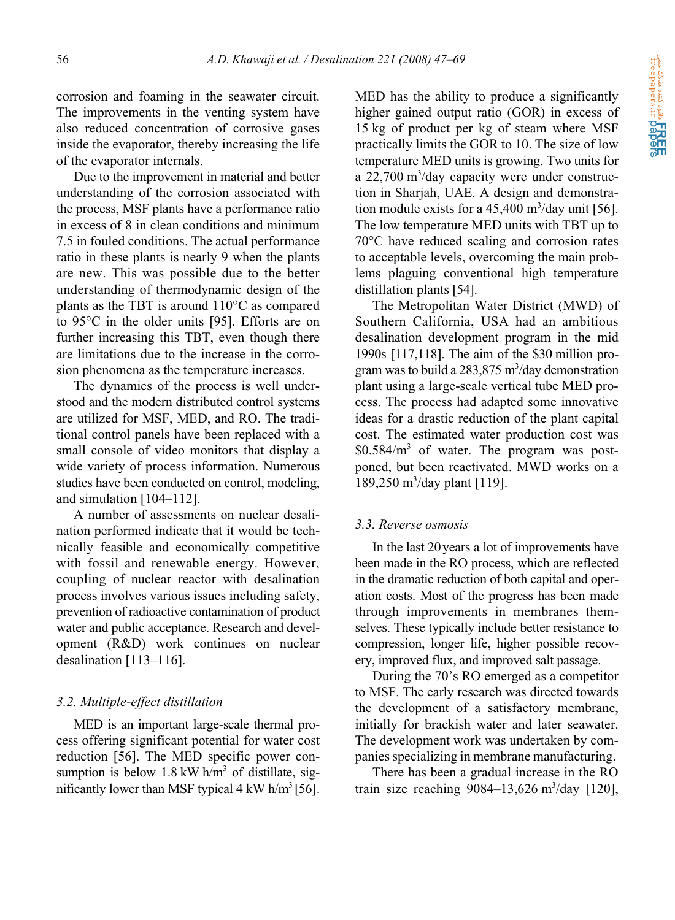corrosion and foaming in the seawater circuit. The improvements in the venting system have also reduced concentration of corrosive gases inside the evaporator, thereby increasing the life of the evaporator internals.

Due to the improvement in material and better understanding of the corrosion associated with the process, MSF plants have a performance ratio in excess of 8 in clean conditions and minimum 7.5 in fouled conditions. The actual performance ratio in these plants is nearly 9 when the plants are new. This was possible due to the better understanding of thermodynamic design of the plants as the TBT is around 110°C as compared to 95°C in the older units [95]. Efforts are on further increasing this TBT, even though there are limitations due to the increase in the corrosion phenomena as the temperature increases.

The dynamics of the process is well understood and the modern distributed control systems are utilized for MSF, MED, and RO. The traditional control panels have been replaced with a small console of video monitors that display a wide variety of process information. Numerous studies have been conducted on control, modeling, and simulation [104–112].

A number of assessments on nuclear desalination performed indicate that it would be technically feasible and economically competitive with fossil and renewable energy. However, coupling of nuclear reactor with desalination process involves various issues including safety, prevention of radioactive contamination of product water and public acceptance. Research and development (R&D) work continues on nuclear desalination [113–116].

#### *3.2. Multiple-effect distillation*

MED is an important large-scale thermal process offering significant potential for water cost reduction [56]. The MED specific power consumption is below  $1.8 \text{ kW h/m}^3$  of distillate, significantly lower than MSF typical  $4 \text{ kW h/m}^3$  [56]. MED has the ability to produce a significantly higher gained output ratio (GOR) in excess of 15 kg of product per kg of steam where MSF practically limits the GOR to 10. The size of low temperature MED units is growing. Two units for a  $22,700 \text{ m}^3/\text{day}$  capacity were under construction in Shariah, UAE. A design and demonstration module exists for a  $45,400 \text{ m}^3/\text{day}$  unit [56]. The low temperature MED units with TBT up to 70°C have reduced scaling and corrosion rates to acceptable levels, overcoming the main problems plaguing conventional high temperature distillation plants [54].

The Metropolitan Water District (MWD) of Southern California, USA had an ambitious desalination development program in the mid 1990s [117,118]. The aim of the \$30 million program was to build a  $283,875$  m<sup>3</sup>/day demonstration plant using a large-scale vertical tube MED process. The process had adapted some innovative ideas for a drastic reduction of the plant capital cost. The estimated water production cost was  $$0.584/m<sup>3</sup>$  of water. The program was postponed, but been reactivated. MWD works on a 189,250 m<sup>3</sup>/day plant [119].

# *3.3. Reverse osmosis*

In the last 20years a lot of improvements have been made in the RO process, which are reflected in the dramatic reduction of both capital and operation costs. Most of the progress has been made through improvements in membranes themselves. These typically include better resistance to compression, longer life, higher possible recovery, improved flux, and improved salt passage.

During the 70's RO emerged as a competitor to MSF. The early research was directed towards the development of a satisfactory membrane, initially for brackish water and later seawater. The development work was undertaken by companies specializing in membrane manufacturing.

There has been a gradual increase in the RO train size reaching  $9084 - 13,626$  m<sup>3</sup>/day [120],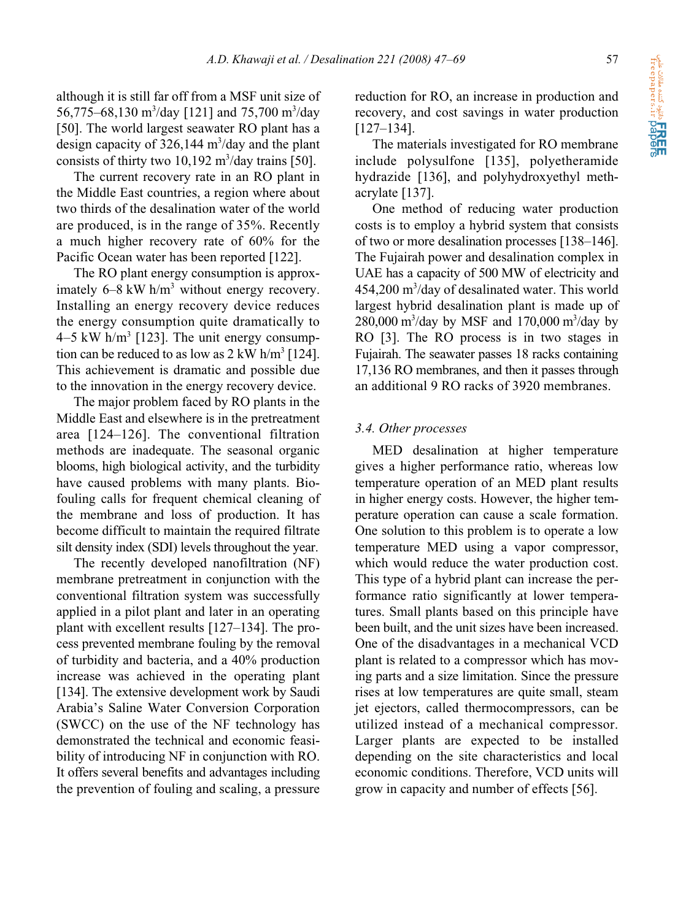although it is still far off from a MSF unit size of 56,775–68,130 m<sup>3</sup>/day [121] and 75,700 m<sup>3</sup>/day [50]. The world largest seawater RO plant has a design capacity of  $326,144 \text{ m}^3/\text{day}$  and the plant consists of thirty two  $10,192 \text{ m}^3/\text{day}$  trains [50].

The current recovery rate in an RO plant in the Middle East countries, a region where about two thirds of the desalination water of the world are produced, is in the range of 35%. Recently a much higher recovery rate of 60% for the Pacific Ocean water has been reported [122].

The RO plant energy consumption is approximately  $6-8$  kW h/m<sup>3</sup> without energy recovery. Installing an energy recovery device reduces the energy consumption quite dramatically to  $4-5$  kW h/m<sup>3</sup> [123]. The unit energy consumption can be reduced to as low as  $2 \text{ kW h/m}^3$  [124]. This achievement is dramatic and possible due to the innovation in the energy recovery device.

The major problem faced by RO plants in the Middle East and elsewhere is in the pretreatment area [124–126]. The conventional filtration methods are inadequate. The seasonal organic blooms, high biological activity, and the turbidity have caused problems with many plants. Biofouling calls for frequent chemical cleaning of the membrane and loss of production. It has become difficult to maintain the required filtrate silt density index (SDI) levels throughout the year.

The recently developed nanofiltration (NF) membrane pretreatment in conjunction with the conventional filtration system was successfully applied in a pilot plant and later in an operating plant with excellent results [127–134]. The process prevented membrane fouling by the removal of turbidity and bacteria, and a 40% production increase was achieved in the operating plant [134]. The extensive development work by Saudi Arabia's Saline Water Conversion Corporation (SWCC) on the use of the NF technology has demonstrated the technical and economic feasibility of introducing NF in conjunction with RO. It offers several benefits and advantages including the prevention of fouling and scaling, a pressure

reduction for RO, an increase in production and recovery, and cost savings in water production [127–134].

The materials investigated for RO membrane include polysulfone [135], polyetheramide hydrazide [136], and polyhydroxyethyl methacrylate [137].

One method of reducing water production costs is to employ a hybrid system that consists of two or more desalination processes [138–146]. The Fujairah power and desalination complex in UAE has a capacity of 500 MW of electricity and 454,200 m<sup>3</sup>/day of desalinated water. This world largest hybrid desalination plant is made up of 280,000 m<sup>3</sup>/day by MSF and 170,000 m<sup>3</sup>/day by RO [3]. The RO process is in two stages in Fujairah. The seawater passes 18 racks containing 17,136 RO membranes, and then it passes through an additional 9 RO racks of 3920 membranes.

## *3.4. Other processes*

MED desalination at higher temperature gives a higher performance ratio, whereas low temperature operation of an MED plant results in higher energy costs. However, the higher temperature operation can cause a scale formation. One solution to this problem is to operate a low temperature MED using a vapor compressor, which would reduce the water production cost. This type of a hybrid plant can increase the performance ratio significantly at lower temperatures. Small plants based on this principle have been built, and the unit sizes have been increased. One of the disadvantages in a mechanical VCD plant is related to a compressor which has moving parts and a size limitation. Since the pressure rises at low temperatures are quite small, steam jet ejectors, called thermocompressors, can be utilized instead of a mechanical compressor. Larger plants are expected to be installed depending on the site characteristics and local economic conditions. Therefore, VCD units will grow in capacity and number of effects [56].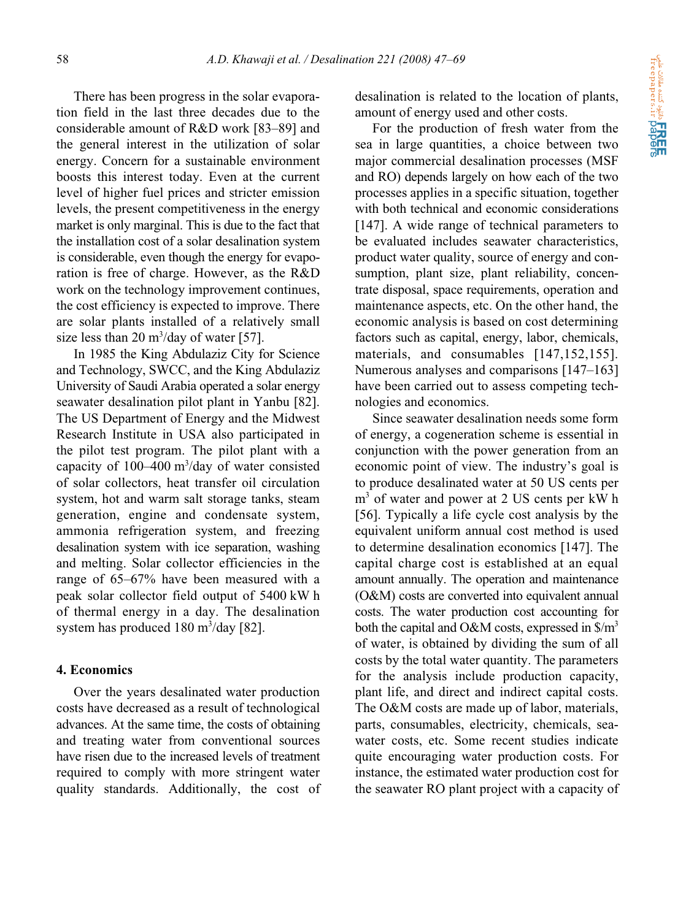There has been progress in the solar evaporation field in the last three decades due to the considerable amount of R&D work [83–89] and the general interest in the utilization of solar energy. Concern for a sustainable environment boosts this interest today. Even at the current level of higher fuel prices and stricter emission levels, the present competitiveness in the energy market is only marginal. This is due to the fact that the installation cost of a solar desalination system is considerable, even though the energy for evaporation is free of charge. However, as the R&D work on the technology improvement continues, the cost efficiency is expected to improve. There are solar plants installed of a relatively small size less than 20  $\text{m}^3/\text{day}$  of water [57].

In 1985 the King Abdulaziz City for Science and Technology, SWCC, and the King Abdulaziz University of Saudi Arabia operated a solar energy seawater desalination pilot plant in Yanbu [82]. The US Department of Energy and the Midwest Research Institute in USA also participated in the pilot test program. The pilot plant with a capacity of  $100-400 \text{ m}^3/\text{day}$  of water consisted of solar collectors, heat transfer oil circulation system, hot and warm salt storage tanks, steam generation, engine and condensate system, ammonia refrigeration system, and freezing desalination system with ice separation, washing and melting. Solar collector efficiencies in the range of 65–67% have been measured with a peak solar collector field output of 5400 kW h of thermal energy in a day. The desalination system has produced  $180 \text{ m}^3/\text{day}$  [82].

## **4. Economics**

Over the years desalinated water production costs have decreased as a result of technological advances. At the same time, the costs of obtaining and treating water from conventional sources have risen due to the increased levels of treatment required to comply with more stringent water quality standards. Additionally, the cost of desalination is related to the location of plants, amount of energy used and other costs.

For the production of fresh water from the sea in large quantities, a choice between two major commercial desalination processes (MSF and RO) depends largely on how each of the two processes applies in a specific situation, together with both technical and economic considerations [147]. A wide range of technical parameters to be evaluated includes seawater characteristics, product water quality, source of energy and consumption, plant size, plant reliability, concentrate disposal, space requirements, operation and maintenance aspects, etc. On the other hand, the economic analysis is based on cost determining factors such as capital, energy, labor, chemicals, materials, and consumables [147,152,155]. Numerous analyses and comparisons [147–163] have been carried out to assess competing technologies and economics.

Since seawater desalination needs some form of energy, a cogeneration scheme is essential in conjunction with the power generation from an economic point of view. The industry's goal is to produce desalinated water at 50 US cents per m<sup>3</sup> of water and power at 2 US cents per kW h [56]. Typically a life cycle cost analysis by the equivalent uniform annual cost method is used to determine desalination economics [147]. The capital charge cost is established at an equal amount annually. The operation and maintenance (O&M) costs are converted into equivalent annual costs. The water production cost accounting for both the capital and O&M costs, expressed in  $\frac{1}{2}$ /m<sup>3</sup> of water, is obtained by dividing the sum of all costs by the total water quantity. The parameters for the analysis include production capacity, plant life, and direct and indirect capital costs. The O&M costs are made up of labor, materials, parts, consumables, electricity, chemicals, seawater costs, etc. Some recent studies indicate quite encouraging water production costs. For instance, the estimated water production cost for the seawater RO plant project with a capacity of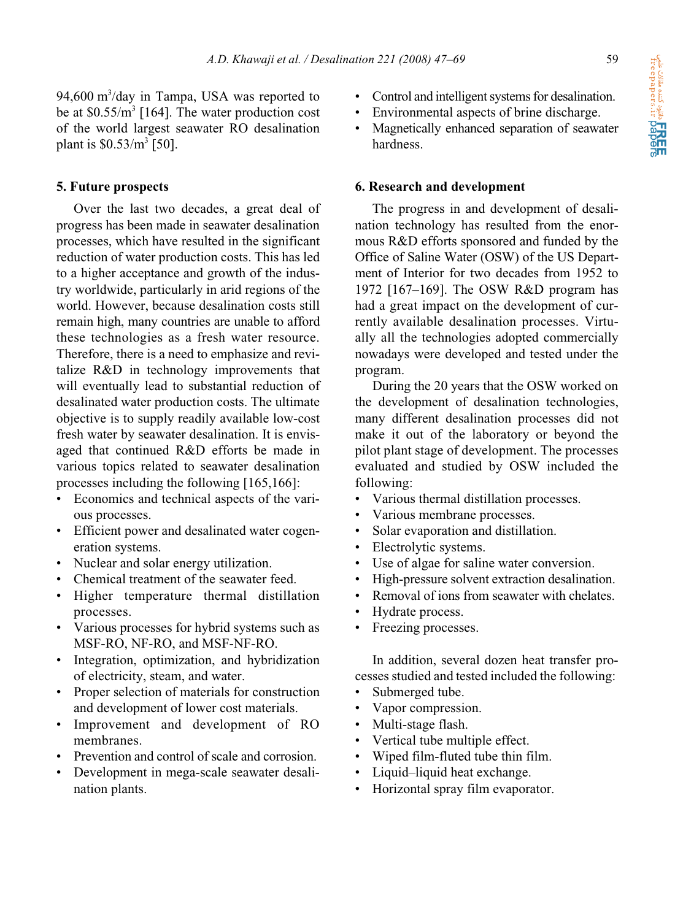دانلود کننده مقالات علمی<br>Treepapers.ir **FREE** 

94,600 m<sup>3</sup>/day in Tampa, USA was reported to be at  $$0.55/m<sup>3</sup>$  [164]. The water production cost of the world largest seawater RO desalination plant is  $$0.53/m<sup>3</sup> [50]$ .

## **5. Future prospects**

Over the last two decades, a great deal of progress has been made in seawater desalination processes, which have resulted in the significant reduction of water production costs. This has led to a higher acceptance and growth of the industry worldwide, particularly in arid regions of the world. However, because desalination costs still remain high, many countries are unable to afford these technologies as a fresh water resource. Therefore, there is a need to emphasize and revitalize R&D in technology improvements that will eventually lead to substantial reduction of desalinated water production costs. The ultimate objective is to supply readily available low-cost fresh water by seawater desalination. It is envisaged that continued R&D efforts be made in various topics related to seawater desalination processes including the following [165,166]:

- Economics and technical aspects of the various processes.
- Efficient power and desalinated water cogeneration systems.
- Nuclear and solar energy utilization.
- Chemical treatment of the seawater feed.
- Higher temperature thermal distillation processes.
- Various processes for hybrid systems such as MSF-RO, NF-RO, and MSF-NF-RO.
- Integration, optimization, and hybridization of electricity, steam, and water.
- Proper selection of materials for construction and development of lower cost materials.
- Improvement and development of RO membranes.
- Prevention and control of scale and corrosion.
- Development in mega-scale seawater desalination plants.
- Control and intelligent systems for desalination.
- Environmental aspects of brine discharge.
- Magnetically enhanced separation of seawater hardness.

#### **6. Research and development**

The progress in and development of desalination technology has resulted from the enormous R&D efforts sponsored and funded by the Office of Saline Water (OSW) of the US Department of Interior for two decades from 1952 to 1972 [167–169]. The OSW R&D program has had a great impact on the development of currently available desalination processes. Virtually all the technologies adopted commercially nowadays were developed and tested under the program.

During the 20 years that the OSW worked on the development of desalination technologies, many different desalination processes did not make it out of the laboratory or beyond the pilot plant stage of development. The processes evaluated and studied by OSW included the following:

- Various thermal distillation processes.
- Various membrane processes.
- Solar evaporation and distillation.
- Electrolytic systems.
- Use of algae for saline water conversion.
- High-pressure solvent extraction desalination.
- Removal of ions from seawater with chelates.
- Hydrate process.
- Freezing processes.

In addition, several dozen heat transfer processes studied and tested included the following:

- Submerged tube.
- Vapor compression.
- Multi-stage flash.
- Vertical tube multiple effect.
- Wiped film-fluted tube thin film.
- Liquid–liquid heat exchange.
- Horizontal spray film evaporator.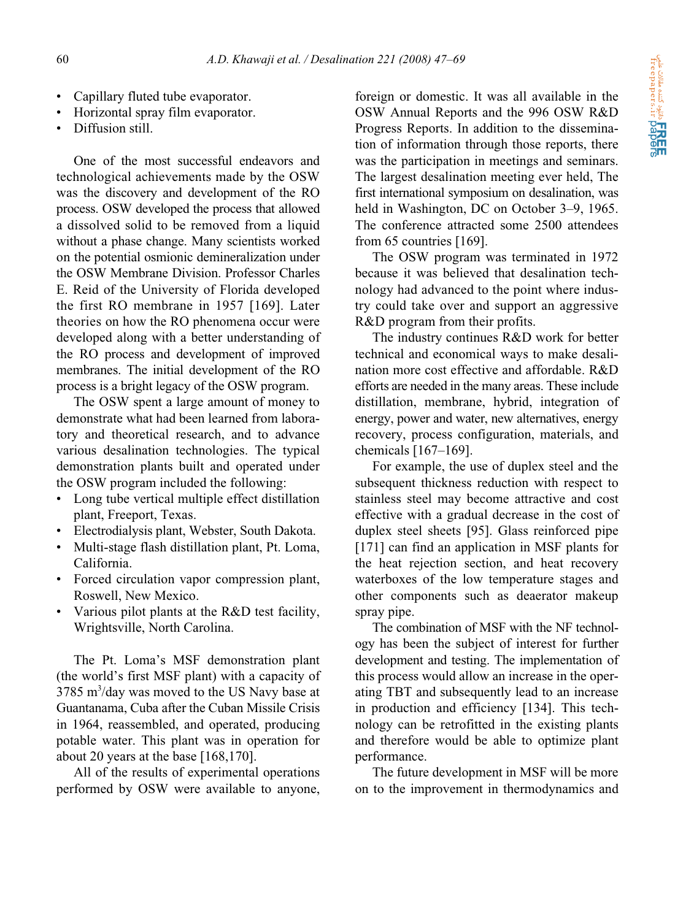- Capillary fluted tube evaporator.
- Horizontal spray film evaporator.
- Diffusion still.

One of the most successful endeavors and technological achievements made by the OSW was the discovery and development of the RO process. OSW developed the process that allowed a dissolved solid to be removed from a liquid without a phase change. Many scientists worked on the potential osmionic demineralization under the OSW Membrane Division. Professor Charles E. Reid of the University of Florida developed the first RO membrane in 1957 [169]. Later theories on how the RO phenomena occur were developed along with a better understanding of the RO process and development of improved membranes. The initial development of the RO process is a bright legacy of the OSW program.

The OSW spent a large amount of money to demonstrate what had been learned from laboratory and theoretical research, and to advance various desalination technologies. The typical demonstration plants built and operated under the OSW program included the following:

- Long tube vertical multiple effect distillation plant, Freeport, Texas.
- Electrodialysis plant, Webster, South Dakota.
- Multi-stage flash distillation plant, Pt. Loma, California.
- Forced circulation vapor compression plant, Roswell, New Mexico.
- Various pilot plants at the R&D test facility, Wrightsville, North Carolina.

The Pt. Loma's MSF demonstration plant (the world's first MSF plant) with a capacity of 3785 m<sup>3</sup>/day was moved to the US Navy base at Guantanama, Cuba after the Cuban Missile Crisis in 1964, reassembled, and operated, producing potable water. This plant was in operation for about 20 years at the base [168,170].

All of the results of experimental operations performed by OSW were available to anyone, foreign or domestic. It was all available in the OSW Annual Reports and the 996 OSW R&D Progress Reports. In addition to the dissemination of information through those reports, there was the participation in meetings and seminars. The largest desalination meeting ever held, The first international symposium on desalination, was held in Washington, DC on October 3–9, 1965. The conference attracted some 2500 attendees from 65 countries [169].

The OSW program was terminated in 1972 because it was believed that desalination technology had advanced to the point where industry could take over and support an aggressive R&D program from their profits.

The industry continues R&D work for better technical and economical ways to make desalination more cost effective and affordable. R&D efforts are needed in the many areas. These include distillation, membrane, hybrid, integration of energy, power and water, new alternatives, energy recovery, process configuration, materials, and chemicals [167–169].

For example, the use of duplex steel and the subsequent thickness reduction with respect to stainless steel may become attractive and cost effective with a gradual decrease in the cost of duplex steel sheets [95]. Glass reinforced pipe [171] can find an application in MSF plants for the heat rejection section, and heat recovery waterboxes of the low temperature stages and other components such as deaerator makeup spray pipe.

The combination of MSF with the NF technology has been the subject of interest for further development and testing. The implementation of this process would allow an increase in the operating TBT and subsequently lead to an increase in production and efficiency [134]. This technology can be retrofitted in the existing plants and therefore would be able to optimize plant performance.

The future development in MSF will be more on to the improvement in thermodynamics and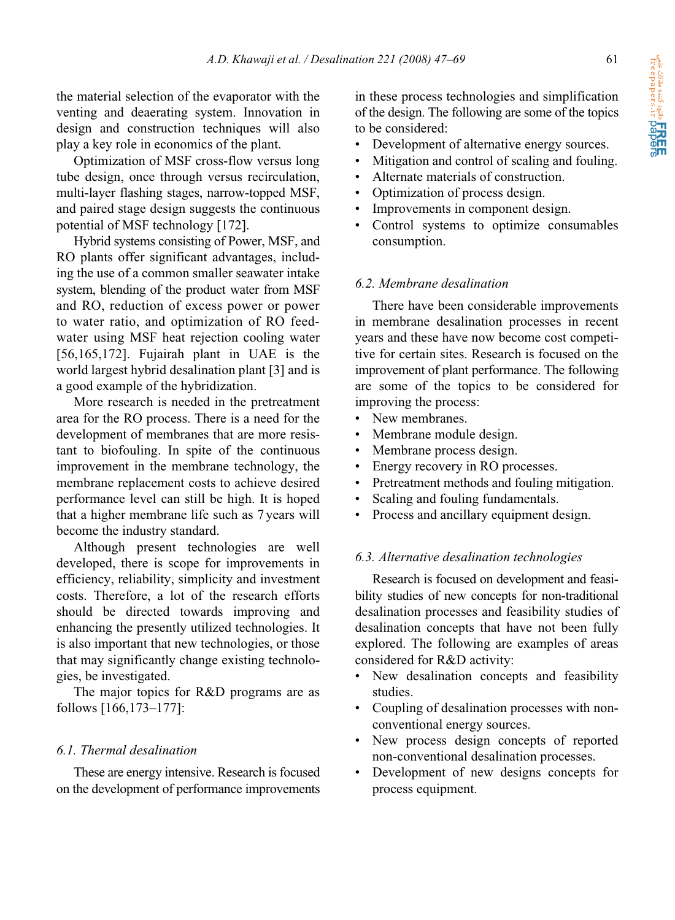the material selection of the evaporator with the venting and deaerating system. Innovation in design and construction techniques will also play a key role in economics of the plant.

Optimization of MSF cross-flow versus long tube design, once through versus recirculation, multi-layer flashing stages, narrow-topped MSF, and paired stage design suggests the continuous potential of MSF technology [172].

Hybrid systems consisting of Power, MSF, and RO plants offer significant advantages, including the use of a common smaller seawater intake system, blending of the product water from MSF and RO, reduction of excess power or power to water ratio, and optimization of RO feedwater using MSF heat rejection cooling water [56,165,172]. Fujairah plant in UAE is the world largest hybrid desalination plant [3] and is a good example of the hybridization.

More research is needed in the pretreatment area for the RO process. There is a need for the development of membranes that are more resistant to biofouling. In spite of the continuous improvement in the membrane technology, the membrane replacement costs to achieve desired performance level can still be high. It is hoped that a higher membrane life such as 7 years will become the industry standard.

Although present technologies are well developed, there is scope for improvements in efficiency, reliability, simplicity and investment costs. Therefore, a lot of the research efforts should be directed towards improving and enhancing the presently utilized technologies. It is also important that new technologies, or those that may significantly change existing technologies, be investigated.

The major topics for R&D programs are as follows [166,173–177]:

# *6.1. Thermal desalination*

These are energy intensive. Research is focused on the development of performance improvements in these process technologies and simplification of the design. The following are some of the topics to be considered:

- Development of alternative energy sources.
- Mitigation and control of scaling and fouling.
- Alternate materials of construction.
- Optimization of process design.
- Improvements in component design.
- Control systems to optimize consumables consumption.

#### *6.2. Membrane desalination*

There have been considerable improvements in membrane desalination processes in recent years and these have now become cost competitive for certain sites. Research is focused on the improvement of plant performance. The following are some of the topics to be considered for improving the process:

- New membranes.
- Membrane module design.
- Membrane process design.
- Energy recovery in RO processes.
- Pretreatment methods and fouling mitigation.
- Scaling and fouling fundamentals.
- Process and ancillary equipment design.

## *6.3. Alternative desalination technologies*

Research is focused on development and feasibility studies of new concepts for non-traditional desalination processes and feasibility studies of desalination concepts that have not been fully explored. The following are examples of areas considered for R&D activity:

- New desalination concepts and feasibility studies.
- Coupling of desalination processes with nonconventional energy sources.
- New process design concepts of reported non-conventional desalination processes.
- Development of new designs concepts for process equipment.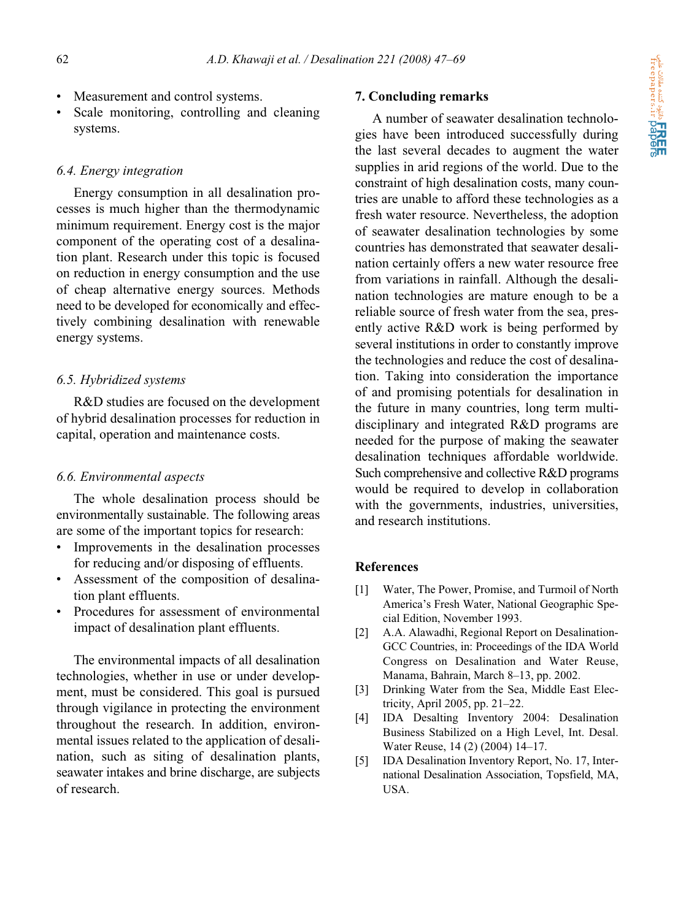- Measurement and control systems.
- Scale monitoring, controlling and cleaning systems.

# *6.4. Energy integration*

Energy consumption in all desalination processes is much higher than the thermodynamic minimum requirement. Energy cost is the major component of the operating cost of a desalination plant. Research under this topic is focused on reduction in energy consumption and the use of cheap alternative energy sources. Methods need to be developed for economically and effectively combining desalination with renewable energy systems.

# *6.5. Hybridized systems*

R&D studies are focused on the development of hybrid desalination processes for reduction in capital, operation and maintenance costs.

# *6.6. Environmental aspects*

The whole desalination process should be environmentally sustainable. The following areas are some of the important topics for research:

- Improvements in the desalination processes for reducing and/or disposing of effluents.
- Assessment of the composition of desalination plant effluents.
- Procedures for assessment of environmental impact of desalination plant effluents.

The environmental impacts of all desalination technologies, whether in use or under development, must be considered. This goal is pursued through vigilance in protecting the environment throughout the research. In addition, environmental issues related to the application of desalination, such as siting of desalination plants, seawater intakes and brine discharge, are subjects of research.

## **7. Concluding remarks**

A number of seawater desalination technologies have been introduced successfully during the last several decades to augment the water supplies in arid regions of the world. Due to the constraint of high desalination costs, many countries are unable to afford these technologies as a fresh water resource. Nevertheless, the adoption of seawater desalination technologies by some countries has demonstrated that seawater desalination certainly offers a new water resource free from variations in rainfall. Although the desalination technologies are mature enough to be a reliable source of fresh water from the sea, presently active R&D work is being performed by several institutions in order to constantly improve the technologies and reduce the cost of desalination. Taking into consideration the importance of and promising potentials for desalination in the future in many countries, long term multidisciplinary and integrated R&D programs are needed for the purpose of making the seawater desalination techniques affordable worldwide. Such comprehensive and collective R&D programs would be required to develop in collaboration with the governments, industries, universities, and research institutions.

# **References**

- [1] Water, The Power, Promise, and Turmoil of North America's Fresh Water, National Geographic Special Edition, November 1993.
- [2] A.A. Alawadhi, Regional Report on Desalination-GCC Countries, in: Proceedings of the IDA World Congress on Desalination and Water Reuse, Manama, Bahrain, March 8–13, pp. 2002.
- [3] Drinking Water from the Sea, Middle East Electricity, April 2005, pp. 21–22.
- [4] IDA Desalting Inventory 2004: Desalination Business Stabilized on a High Level, Int. Desal. Water Reuse, 14 (2) (2004) 14–17.
- [5] IDA Desalination Inventory Report, No. 17, International Desalination Association, Topsfield, MA, USA.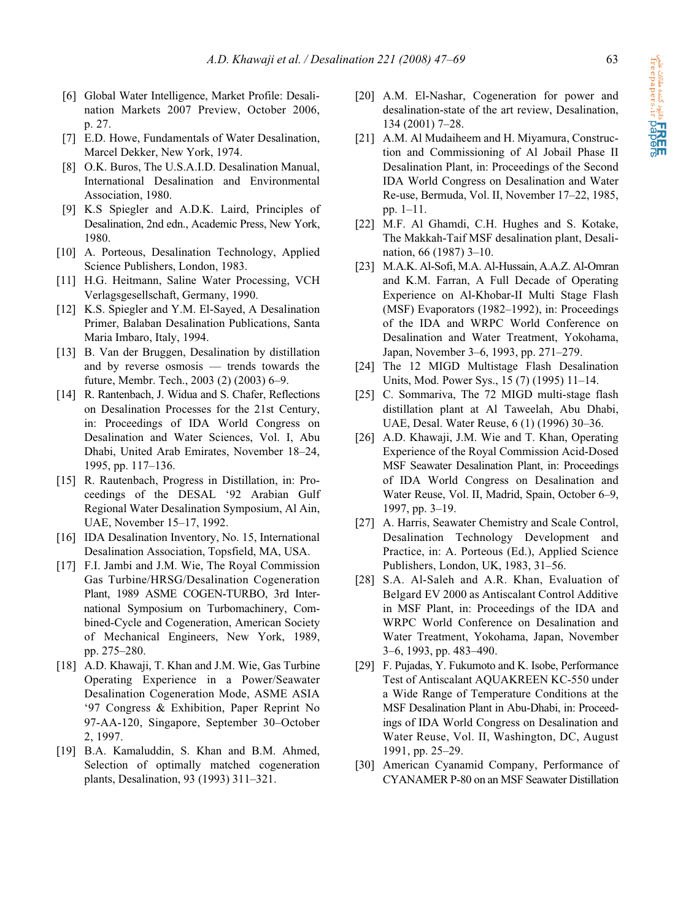- [6] Global Water Intelligence, Market Profile: Desalination Markets 2007 Preview, October 2006, p. 27.
- [7] E.D. Howe, Fundamentals of Water Desalination, Marcel Dekker, New York, 1974.
- [8] O.K. Buros, The U.S.A.I.D. Desalination Manual, International Desalination and Environmental Association, 1980.
- [9] K.S Spiegler and A.D.K. Laird, Principles of Desalination, 2nd edn., Academic Press, New York, 1980.
- [10] A. Porteous, Desalination Technology, Applied Science Publishers, London, 1983.
- [11] H.G. Heitmann, Saline Water Processing, VCH Verlagsgesellschaft, Germany, 1990.
- [12] K.S. Spiegler and Y.M. El-Sayed, A Desalination Primer, Balaban Desalination Publications, Santa Maria Imbaro, Italy, 1994.
- [13] B. Van der Bruggen, Desalination by distillation and by reverse osmosis — trends towards the future, Membr. Tech., 2003 (2) (2003) 6–9.
- [14] R. Rantenbach, J. Widua and S. Chafer, Reflections on Desalination Processes for the 21st Century, in: Proceedings of IDA World Congress on Desalination and Water Sciences, Vol. I, Abu Dhabi, United Arab Emirates, November 18–24, 1995, pp. 117–136.
- [15] R. Rautenbach, Progress in Distillation, in: Proceedings of the DESAL '92 Arabian Gulf Regional Water Desalination Symposium, Al Ain, UAE, November 15–17, 1992.
- [16] IDA Desalination Inventory, No. 15, International Desalination Association, Topsfield, MA, USA.
- [17] F.I. Jambi and J.M. Wie, The Royal Commission Gas Turbine/HRSG/Desalination Cogeneration Plant, 1989 ASME COGEN-TURBO, 3rd International Symposium on Turbomachinery, Combined-Cycle and Cogeneration, American Society of Mechanical Engineers, New York, 1989, pp. 275–280.
- [18] A.D. Khawaji, T. Khan and J.M. Wie, Gas Turbine Operating Experience in a Power/Seawater Desalination Cogeneration Mode, ASME ASIA '97 Congress & Exhibition, Paper Reprint No 97-AA-120, Singapore, September 30–October 2, 1997.
- [19] B.A. Kamaluddin, S. Khan and B.M. Ahmed, Selection of optimally matched cogeneration plants, Desalination, 93 (1993) 311–321.
- [20] A.M. El-Nashar, Cogeneration for power and desalination-state of the art review, Desalination, 134 (2001) 7–28.
- [21] A.M. Al Mudaiheem and H. Miyamura, Construction and Commissioning of Al Jobail Phase II Desalination Plant, in: Proceedings of the Second IDA World Congress on Desalination and Water Re-use, Bermuda, Vol. II, November 17–22, 1985, pp. 1–11.
- [22] M.F. Al Ghamdi, C.H. Hughes and S. Kotake, The Makkah-Taif MSF desalination plant, Desalination, 66 (1987) 3–10.
- [23] M.A.K. Al-Sofi, M.A. Al-Hussain, A.A.Z. Al-Omran and K.M. Farran, A Full Decade of Operating Experience on Al-Khobar-II Multi Stage Flash (MSF) Evaporators (1982–1992), in: Proceedings of the IDA and WRPC World Conference on Desalination and Water Treatment, Yokohama, Japan, November 3–6, 1993, pp. 271–279.
- [24] The 12 MIGD Multistage Flash Desalination Units, Mod. Power Sys., 15 (7) (1995) 11–14.
- [25] C. Sommariva, The 72 MIGD multi-stage flash distillation plant at Al Taweelah, Abu Dhabi, UAE, Desal. Water Reuse, 6 (1) (1996) 30–36.
- [26] A.D. Khawaji, J.M. Wie and T. Khan, Operating Experience of the Royal Commission Acid-Dosed MSF Seawater Desalination Plant, in: Proceedings of IDA World Congress on Desalination and Water Reuse, Vol. II, Madrid, Spain, October 6–9, 1997, pp. 3–19.
- [27] A. Harris, Seawater Chemistry and Scale Control, Desalination Technology Development and Practice, in: A. Porteous (Ed.), Applied Science Publishers, London, UK, 1983, 31–56.
- [28] S.A. Al-Saleh and A.R. Khan, Evaluation of Belgard EV 2000 as Antiscalant Control Additive in MSF Plant, in: Proceedings of the IDA and WRPC World Conference on Desalination and Water Treatment, Yokohama, Japan, November 3–6, 1993, pp. 483–490.
- [29] F. Pujadas, Y. Fukumoto and K. Isobe, Performance Test of Antiscalant AQUAKREEN KC-550 under a Wide Range of Temperature Conditions at the MSF Desalination Plant in Abu-Dhabi, in: Proceedings of IDA World Congress on Desalination and Water Reuse, Vol. II, Washington, DC, August 1991, pp. 25–29.
- [30] American Cyanamid Company, Performance of CYANAMER P-80 on an MSF Seawater Distillation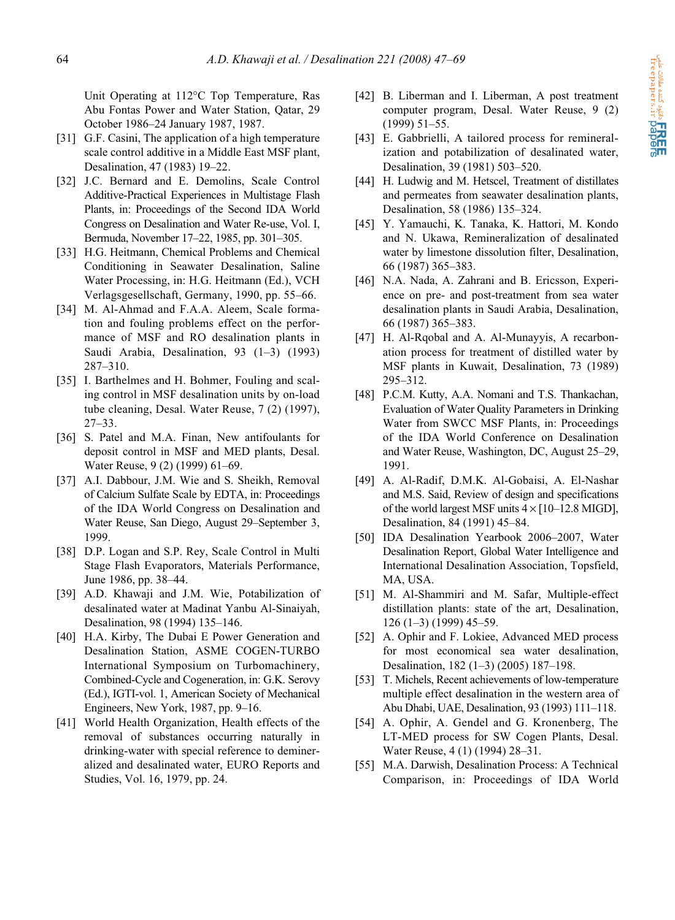Unit Operating at 112°C Top Temperature, Ras Abu Fontas Power and Water Station, Qatar, 29 October 1986–24 January 1987, 1987.

- [31] G.F. Casini, The application of a high temperature scale control additive in a Middle East MSF plant, Desalination, 47 (1983) 19–22.
- [32] J.C. Bernard and E. Demolins, Scale Control Additive-Practical Experiences in Multistage Flash Plants, in: Proceedings of the Second IDA World Congress on Desalination and Water Re-use, Vol. I, Bermuda, November 17–22, 1985, pp. 301–305.
- [33] H.G. Heitmann, Chemical Problems and Chemical Conditioning in Seawater Desalination, Saline Water Processing, in: H.G. Heitmann (Ed.), VCH Verlagsgesellschaft, Germany, 1990, pp. 55–66.
- [34] M. Al-Ahmad and F.A.A. Aleem, Scale formation and fouling problems effect on the performance of MSF and RO desalination plants in Saudi Arabia, Desalination, 93 (1–3) (1993) 287–310.
- [35] I. Barthelmes and H. Bohmer, Fouling and scaling control in MSF desalination units by on-load tube cleaning, Desal. Water Reuse, 7 (2) (1997), 27–33.
- [36] S. Patel and M.A. Finan, New antifoulants for deposit control in MSF and MED plants, Desal. Water Reuse, 9 (2) (1999) 61–69.
- [37] A.I. Dabbour, J.M. Wie and S. Sheikh, Removal of Calcium Sulfate Scale by EDTA, in: Proceedings of the IDA World Congress on Desalination and Water Reuse, San Diego, August 29–September 3, 1999.
- [38] D.P. Logan and S.P. Rey, Scale Control in Multi Stage Flash Evaporators, Materials Performance, June 1986, pp. 38–44.
- [39] A.D. Khawaji and J.M. Wie, Potabilization of desalinated water at Madinat Yanbu Al-Sinaiyah, Desalination, 98 (1994) 135–146.
- [40] H.A. Kirby, The Dubai E Power Generation and Desalination Station, ASME COGEN-TURBO International Symposium on Turbomachinery, Combined-Cycle and Cogeneration, in: G.K. Serovy (Ed.), IGTI-vol. 1, American Society of Mechanical Engineers, New York, 1987, pp. 9–16.
- [41] World Health Organization, Health effects of the removal of substances occurring naturally in drinking-water with special reference to demineralized and desalinated water, EURO Reports and Studies, Vol. 16, 1979, pp. 24.
- [42] B. Liberman and I. Liberman, A post treatment computer program, Desal. Water Reuse, 9 (2) (1999) 51–55.
- [43] E. Gabbrielli, A tailored process for remineralization and potabilization of desalinated water, Desalination, 39 (1981) 503–520.
- [44] H. Ludwig and M. Hetscel, Treatment of distillates and permeates from seawater desalination plants, Desalination, 58 (1986) 135–324.
- [45] Y. Yamauchi, K. Tanaka, K. Hattori, M. Kondo and N. Ukawa, Remineralization of desalinated water by limestone dissolution filter, Desalination, 66 (1987) 365–383.
- [46] N.A. Nada, A. Zahrani and B. Ericsson, Experience on pre- and post-treatment from sea water desalination plants in Saudi Arabia, Desalination, 66 (1987) 365–383.
- [47] H. Al-Rqobal and A. Al-Munayyis, A recarbonation process for treatment of distilled water by MSF plants in Kuwait, Desalination, 73 (1989) 295–312.
- [48] P.C.M. Kutty, A.A. Nomani and T.S. Thankachan, Evaluation of Water Quality Parameters in Drinking Water from SWCC MSF Plants, in: Proceedings of the IDA World Conference on Desalination and Water Reuse, Washington, DC, August 25–29, 1991.
- [49] A. Al-Radif, D.M.K. Al-Gobaisi, A. El-Nashar and M.S. Said, Review of design and specifications of the world largest MSF units  $4 \times [10-12.8 \text{ MIGD}]$ , Desalination, 84 (1991) 45–84.
- [50] IDA Desalination Yearbook 2006–2007, Water Desalination Report, Global Water Intelligence and International Desalination Association, Topsfield, MA, USA.
- [51] M. Al-Shammiri and M. Safar, Multiple-effect distillation plants: state of the art, Desalination, 126 (1–3) (1999) 45–59.
- [52] A. Ophir and F. Lokiee, Advanced MED process for most economical sea water desalination, Desalination, 182 (1–3) (2005) 187–198.
- [53] T. Michels, Recent achievements of low-temperature multiple effect desalination in the western area of Abu Dhabi, UAE, Desalination, 93 (1993) 111–118.
- [54] A. Ophir, A. Gendel and G. Kronenberg, The LT-MED process for SW Cogen Plants, Desal. Water Reuse, 4 (1) (1994) 28–31.
- [55] M.A. Darwish, Desalination Process: A Technical Comparison, in: Proceedings of IDA World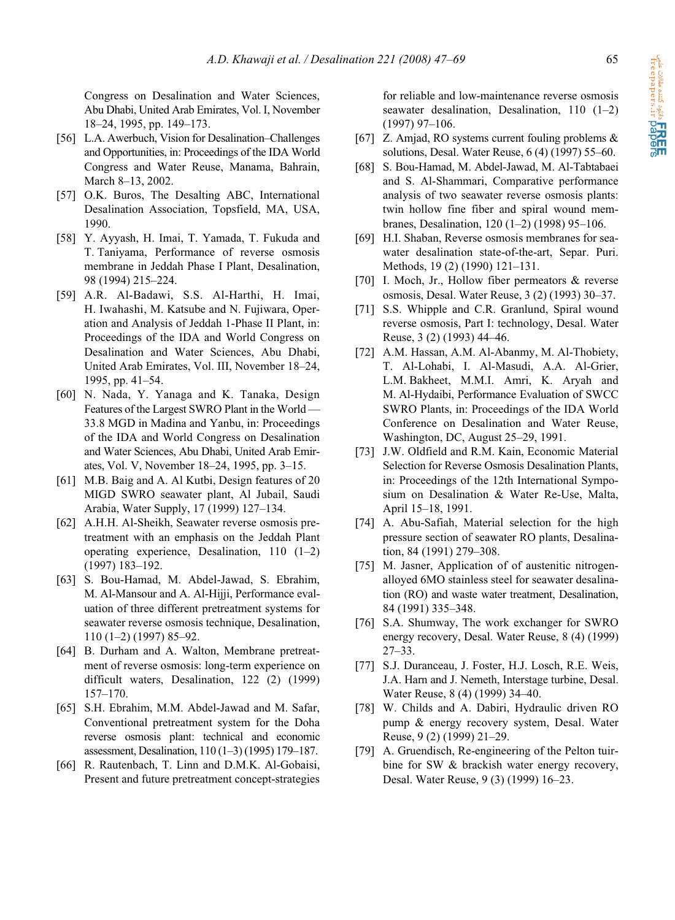Congress on Desalination and Water Sciences, Abu Dhabi, United Arab Emirates, Vol. I, November 18–24, 1995, pp. 149–173.

- [56] L.A. Awerbuch, Vision for Desalination–Challenges and Opportunities, in: Proceedings of the IDA World Congress and Water Reuse, Manama, Bahrain, March 8–13, 2002.
- [57] O.K. Buros, The Desalting ABC, International Desalination Association, Topsfield, MA, USA, 1990.
- [58] Y. Ayyash, H. Imai, T. Yamada, T. Fukuda and T. Taniyama, Performance of reverse osmosis membrane in Jeddah Phase I Plant, Desalination, 98 (1994) 215–224.
- [59] A.R. Al-Badawi, S.S. Al-Harthi, H. Imai, H. Iwahashi, M. Katsube and N. Fujiwara, Operation and Analysis of Jeddah 1-Phase II Plant, in: Proceedings of the IDA and World Congress on Desalination and Water Sciences, Abu Dhabi, United Arab Emirates, Vol. III, November 18–24, 1995, pp. 41–54.
- [60] N. Nada, Y. Yanaga and K. Tanaka, Design Features of the Largest SWRO Plant in the World — 33.8 MGD in Madina and Yanbu, in: Proceedings of the IDA and World Congress on Desalination and Water Sciences, Abu Dhabi, United Arab Emirates, Vol. V, November 18–24, 1995, pp. 3–15.
- [61] M.B. Baig and A. Al Kutbi, Design features of 20 MIGD SWRO seawater plant, Al Jubail, Saudi Arabia, Water Supply, 17 (1999) 127–134.
- [62] A.H.H. Al-Sheikh, Seawater reverse osmosis pretreatment with an emphasis on the Jeddah Plant operating experience, Desalination, 110 (1–2) (1997) 183–192.
- [63] S. Bou-Hamad, M. Abdel-Jawad, S. Ebrahim, M. Al-Mansour and A. Al-Hijji, Performance evaluation of three different pretreatment systems for seawater reverse osmosis technique, Desalination, 110 (1–2) (1997) 85–92.
- [64] B. Durham and A. Walton, Membrane pretreatment of reverse osmosis: long-term experience on difficult waters, Desalination, 122 (2) (1999) 157–170.
- [65] S.H. Ebrahim, M.M. Abdel-Jawad and M. Safar, Conventional pretreatment system for the Doha reverse osmosis plant: technical and economic assessment, Desalination, 110 (1–3) (1995) 179–187.
- [66] R. Rautenbach, T. Linn and D.M.K. Al-Gobaisi, Present and future pretreatment concept-strategies

for reliable and low-maintenance reverse osmosis seawater desalination, Desalination, 110 (1–2) (1997) 97–106.

- [67] Z. Amjad, RO systems current fouling problems & solutions, Desal. Water Reuse, 6 (4) (1997) 55–60.
- [68] S. Bou-Hamad, M. Abdel-Jawad, M. Al-Tabtabaei and S. Al-Shammari, Comparative performance analysis of two seawater reverse osmosis plants: twin hollow fine fiber and spiral wound membranes, Desalination, 120 (1–2) (1998) 95–106.
- [69] H.I. Shaban, Reverse osmosis membranes for seawater desalination state-of-the-art, Separ. Puri. Methods, 19 (2) (1990) 121–131.
- [70] I. Moch, Jr., Hollow fiber permeators & reverse osmosis, Desal. Water Reuse, 3 (2) (1993) 30–37.
- [71] S.S. Whipple and C.R. Granlund, Spiral wound reverse osmosis, Part I: technology, Desal. Water Reuse, 3 (2) (1993) 44–46.
- [72] A.M. Hassan, A.M. Al-Abanmy, M. Al-Thobiety, T. Al-Lohabi, I. Al-Masudi, A.A. Al-Grier, L.M. Bakheet, M.M.I. Amri, K. Aryah and M. Al-Hydaibi, Performance Evaluation of SWCC SWRO Plants, in: Proceedings of the IDA World Conference on Desalination and Water Reuse, Washington, DC, August 25–29, 1991.
- [73] J.W. Oldfield and R.M. Kain, Economic Material Selection for Reverse Osmosis Desalination Plants, in: Proceedings of the 12th International Symposium on Desalination & Water Re-Use, Malta, April 15–18, 1991.
- [74] A. Abu-Safiah, Material selection for the high pressure section of seawater RO plants, Desalination, 84 (1991) 279–308.
- [75] M. Jasner, Application of of austenitic nitrogenalloyed 6MO stainless steel for seawater desalination (RO) and waste water treatment, Desalination, 84 (1991) 335–348.
- [76] S.A. Shumway, The work exchanger for SWRO energy recovery, Desal. Water Reuse, 8 (4) (1999) 27–33.
- [77] S.J. Duranceau, J. Foster, H.J. Losch, R.E. Weis, J.A. Harn and J. Nemeth, Interstage turbine, Desal. Water Reuse, 8 (4) (1999) 34–40.
- [78] W. Childs and A. Dabiri, Hydraulic driven RO pump & energy recovery system, Desal. Water Reuse, 9 (2) (1999) 21–29.
- [79] A. Gruendisch, Re-engineering of the Pelton tuirbine for SW & brackish water energy recovery, Desal. Water Reuse, 9 (3) (1999) 16–23.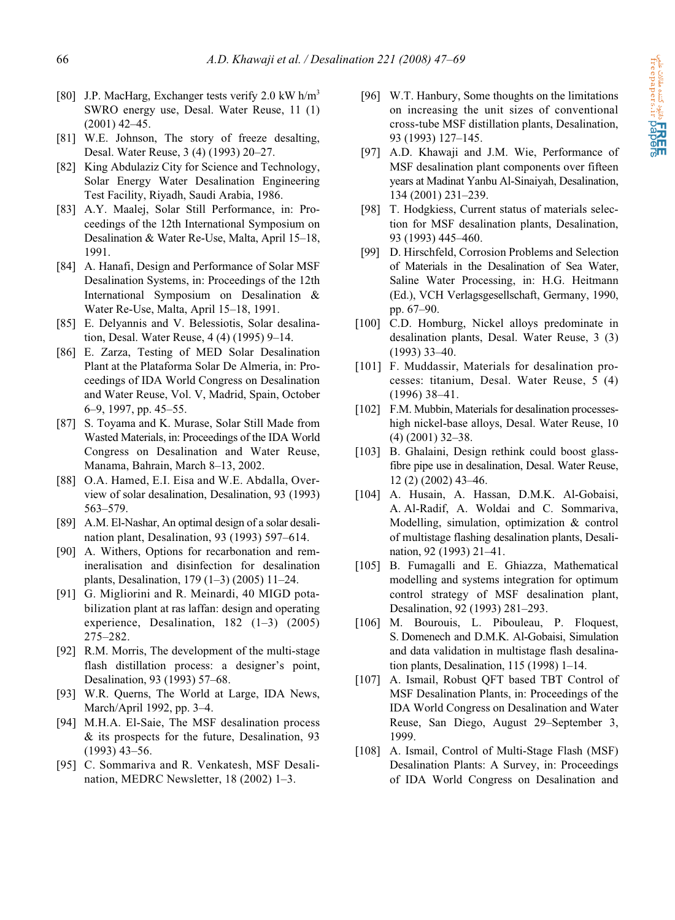- [80] J.P. MacHarg, Exchanger tests verify 2.0 kW h/m<sup>3</sup> SWRO energy use, Desal. Water Reuse, 11 (1) (2001) 42–45.
- [81] W.E. Johnson, The story of freeze desalting, Desal. Water Reuse, 3 (4) (1993) 20–27.
- [82] King Abdulaziz City for Science and Technology, Solar Energy Water Desalination Engineering Test Facility, Riyadh, Saudi Arabia, 1986.
- [83] A.Y. Maalej, Solar Still Performance, in: Proceedings of the 12th International Symposium on Desalination & Water Re-Use, Malta, April 15–18, 1991.
- [84] A. Hanafi, Design and Performance of Solar MSF Desalination Systems, in: Proceedings of the 12th International Symposium on Desalination & Water Re-Use, Malta, April 15–18, 1991.
- [85] E. Delyannis and V. Belessiotis, Solar desalination, Desal. Water Reuse, 4 (4) (1995) 9–14.
- [86] E. Zarza, Testing of MED Solar Desalination Plant at the Plataforma Solar De Almeria, in: Proceedings of IDA World Congress on Desalination and Water Reuse, Vol. V, Madrid, Spain, October 6–9, 1997, pp. 45–55.
- [87] S. Toyama and K. Murase, Solar Still Made from Wasted Materials, in: Proceedings of the IDA World Congress on Desalination and Water Reuse, Manama, Bahrain, March 8–13, 2002.
- [88] O.A. Hamed, E.I. Eisa and W.E. Abdalla, Overview of solar desalination, Desalination, 93 (1993) 563–579.
- [89] A.M. El-Nashar, An optimal design of a solar desalination plant, Desalination, 93 (1993) 597–614.
- [90] A. Withers, Options for recarbonation and remineralisation and disinfection for desalination plants, Desalination, 179 (1–3) (2005) 11–24.
- [91] G. Migliorini and R. Meinardi, 40 MIGD potabilization plant at ras laffan: design and operating experience, Desalination, 182 (1–3) (2005) 275–282.
- [92] R.M. Morris, The development of the multi-stage flash distillation process: a designer's point, Desalination, 93 (1993) 57–68.
- [93] W.R. Querns, The World at Large, IDA News, March/April 1992, pp. 3–4.
- [94] M.H.A. El-Saie, The MSF desalination process & its prospects for the future, Desalination, 93 (1993) 43–56.
- [95] C. Sommariva and R. Venkatesh, MSF Desalination, MEDRC Newsletter, 18 (2002) 1–3.
- [96] W.T. Hanbury, Some thoughts on the limitations on increasing the unit sizes of conventional cross-tube MSF distillation plants, Desalination, 93 (1993) 127–145.
- [97] A.D. Khawaji and J.M. Wie, Performance of MSF desalination plant components over fifteen years at Madinat Yanbu Al-Sinaiyah, Desalination, 134 (2001) 231–239.
- [98] T. Hodgkiess, Current status of materials selection for MSF desalination plants, Desalination, 93 (1993) 445–460.
- [99] D. Hirschfeld, Corrosion Problems and Selection of Materials in the Desalination of Sea Water, Saline Water Processing, in: H.G. Heitmann (Ed.), VCH Verlagsgesellschaft, Germany, 1990, pp. 67–90.
- [100] C.D. Homburg, Nickel alloys predominate in desalination plants, Desal. Water Reuse, 3 (3) (1993) 33–40.
- [101] F. Muddassir, Materials for desalination processes: titanium, Desal. Water Reuse, 5 (4) (1996) 38–41.
- [102] F.M. Mubbin, Materials for desalination processeshigh nickel-base alloys, Desal. Water Reuse, 10 (4) (2001) 32–38.
- [103] B. Ghalaini, Design rethink could boost glassfibre pipe use in desalination, Desal. Water Reuse, 12 (2) (2002) 43–46.
- [104] A. Husain, A. Hassan, D.M.K. Al-Gobaisi, A. Al-Radif, A. Woldai and C. Sommariva, Modelling, simulation, optimization & control of multistage flashing desalination plants, Desalination, 92 (1993) 21–41.
- [105] B. Fumagalli and E. Ghiazza, Mathematical modelling and systems integration for optimum control strategy of MSF desalination plant, Desalination, 92 (1993) 281–293.
- [106] M. Bourouis, L. Pibouleau, P. Floquest, S. Domenech and D.M.K. Al-Gobaisi, Simulation and data validation in multistage flash desalination plants, Desalination, 115 (1998) 1–14.
- [107] A. Ismail, Robust QFT based TBT Control of MSF Desalination Plants, in: Proceedings of the IDA World Congress on Desalination and Water Reuse, San Diego, August 29–September 3, 1999.
- [108] A. Ismail, Control of Multi-Stage Flash (MSF) Desalination Plants: A Survey, in: Proceedings of IDA World Congress on Desalination and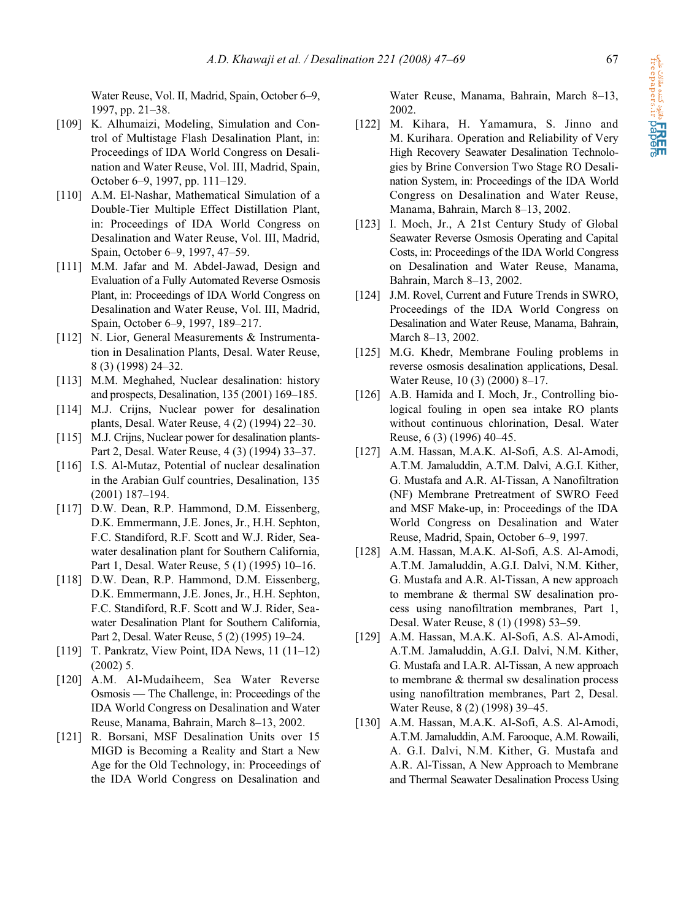Water Reuse, Vol. II, Madrid, Spain, October 6–9, 1997, pp. 21–38.

- [109] K. Alhumaizi, Modeling, Simulation and Control of Multistage Flash Desalination Plant, in: Proceedings of IDA World Congress on Desalination and Water Reuse, Vol. III, Madrid, Spain, October 6–9, 1997, pp. 111–129.
- [110] A.M. El-Nashar, Mathematical Simulation of a Double-Tier Multiple Effect Distillation Plant, in: Proceedings of IDA World Congress on Desalination and Water Reuse, Vol. III, Madrid, Spain, October 6–9, 1997, 47–59.
- [111] M.M. Jafar and M. Abdel-Jawad, Design and Evaluation of a Fully Automated Reverse Osmosis Plant, in: Proceedings of IDA World Congress on Desalination and Water Reuse, Vol. III, Madrid, Spain, October 6–9, 1997, 189–217.
- [112] N. Lior, General Measurements & Instrumentation in Desalination Plants, Desal. Water Reuse, 8 (3) (1998) 24–32.
- [113] M.M. Meghahed, Nuclear desalination: history and prospects, Desalination, 135 (2001) 169–185.
- [114] M.J. Crijns, Nuclear power for desalination plants, Desal. Water Reuse, 4 (2) (1994) 22–30.
- [115] M.J. Crijns, Nuclear power for desalination plants-Part 2, Desal. Water Reuse, 4 (3) (1994) 33–37.
- [116] I.S. Al-Mutaz, Potential of nuclear desalination in the Arabian Gulf countries, Desalination, 135 (2001) 187–194.
- [117] D.W. Dean, R.P. Hammond, D.M. Eissenberg, D.K. Emmermann, J.E. Jones, Jr., H.H. Sephton, F.C. Standiford, R.F. Scott and W.J. Rider, Seawater desalination plant for Southern California, Part 1, Desal. Water Reuse, 5 (1) (1995) 10–16.
- [118] D.W. Dean, R.P. Hammond, D.M. Eissenberg, D.K. Emmermann, J.E. Jones, Jr., H.H. Sephton, F.C. Standiford, R.F. Scott and W.J. Rider, Seawater Desalination Plant for Southern California, Part 2, Desal. Water Reuse, 5 (2) (1995) 19–24.
- [119] T. Pankratz, View Point, IDA News, 11 (11–12) (2002) 5.
- [120] A.M. Al-Mudaiheem, Sea Water Reverse Osmosis — The Challenge, in: Proceedings of the IDA World Congress on Desalination and Water Reuse, Manama, Bahrain, March 8–13, 2002.
- [121] R. Borsani, MSF Desalination Units over 15 MIGD is Becoming a Reality and Start a New Age for the Old Technology, in: Proceedings of the IDA World Congress on Desalination and

Water Reuse, Manama, Bahrain, March 8–13, 2002.

- [122] M. Kihara, H. Yamamura, S. Jinno and M. Kurihara. Operation and Reliability of Very High Recovery Seawater Desalination Technologies by Brine Conversion Two Stage RO Desalination System, in: Proceedings of the IDA World Congress on Desalination and Water Reuse, Manama, Bahrain, March 8–13, 2002.
- [123] I. Moch, Jr., A 21st Century Study of Global Seawater Reverse Osmosis Operating and Capital Costs, in: Proceedings of the IDA World Congress on Desalination and Water Reuse, Manama, Bahrain, March 8–13, 2002.
- [124] J.M. Rovel, Current and Future Trends in SWRO, Proceedings of the IDA World Congress on Desalination and Water Reuse, Manama, Bahrain, March 8–13, 2002.
- [125] M.G. Khedr, Membrane Fouling problems in reverse osmosis desalination applications, Desal. Water Reuse, 10 (3) (2000) 8–17.
- [126] A.B. Hamida and I. Moch, Jr., Controlling biological fouling in open sea intake RO plants without continuous chlorination, Desal. Water Reuse, 6 (3) (1996) 40–45.
- [127] A.M. Hassan, M.A.K. Al-Sofi, A.S. Al-Amodi, A.T.M. Jamaluddin, A.T.M. Dalvi, A.G.I. Kither, G. Mustafa and A.R. Al-Tissan, A Nanofiltration (NF) Membrane Pretreatment of SWRO Feed and MSF Make-up, in: Proceedings of the IDA World Congress on Desalination and Water Reuse, Madrid, Spain, October 6–9, 1997.
- [128] A.M. Hassan, M.A.K. Al-Sofi, A.S. Al-Amodi, A.T.M. Jamaluddin, A.G.I. Dalvi, N.M. Kither, G. Mustafa and A.R. Al-Tissan, A new approach to membrane & thermal SW desalination process using nanofiltration membranes, Part 1, Desal. Water Reuse, 8 (1) (1998) 53–59.
- [129] A.M. Hassan, M.A.K. Al-Sofi, A.S. Al-Amodi, A.T.M. Jamaluddin, A.G.I. Dalvi, N.M. Kither, G. Mustafa and I.A.R. Al-Tissan, A new approach to membrane & thermal sw desalination process using nanofiltration membranes, Part 2, Desal. Water Reuse, 8 (2) (1998) 39–45.
- [130] A.M. Hassan, M.A.K. Al-Sofi, A.S. Al-Amodi, A.T.M. Jamaluddin, A.M. Farooque, A.M. Rowaili, A. G.I. Dalvi, N.M. Kither, G. Mustafa and A.R. Al-Tissan, A New Approach to Membrane and Thermal Seawater Desalination Process Using

Cale Collar outs optive FREE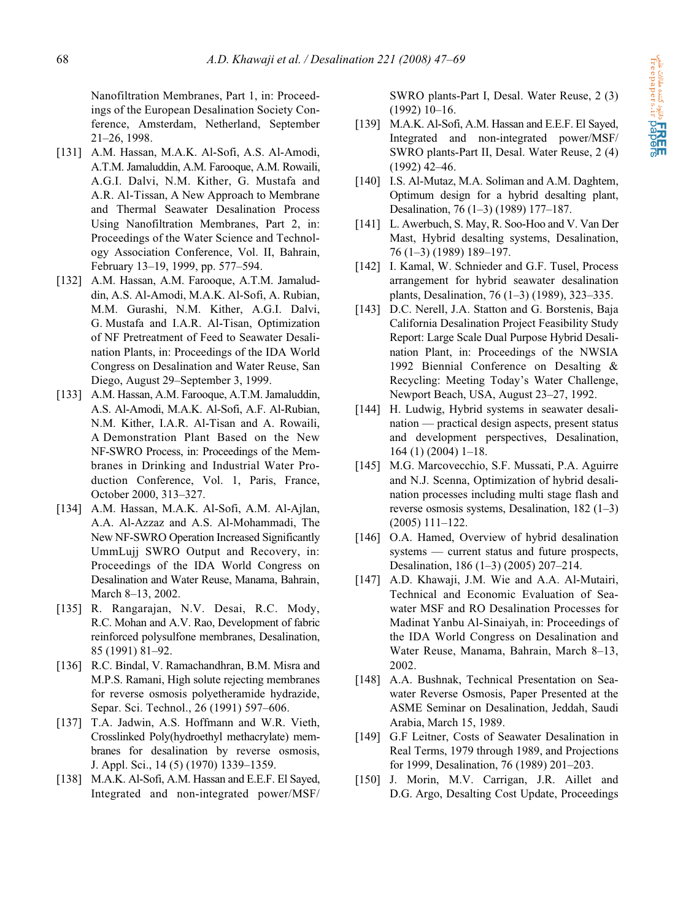Nanofiltration Membranes, Part 1, in: Proceedings of the European Desalination Society Conference, Amsterdam, Netherland, September 21–26, 1998.

- [131] A.M. Hassan, M.A.K. Al-Sofi, A.S. Al-Amodi, A.T.M. Jamaluddin, A.M. Farooque, A.M. Rowaili, A.G.I. Dalvi, N.M. Kither, G. Mustafa and A.R. Al-Tissan, A New Approach to Membrane and Thermal Seawater Desalination Process Using Nanofiltration Membranes, Part 2, in: Proceedings of the Water Science and Technology Association Conference, Vol. II, Bahrain, February 13–19, 1999, pp. 577–594.
- [132] A.M. Hassan, A.M. Farooque, A.T.M. Jamaluddin, A.S. Al-Amodi, M.A.K. Al-Sofi, A. Rubian, M.M. Gurashi, N.M. Kither, A.G.I. Dalvi, G. Mustafa and I.A.R. Al-Tisan, Optimization of NF Pretreatment of Feed to Seawater Desalination Plants, in: Proceedings of the IDA World Congress on Desalination and Water Reuse, San Diego, August 29–September 3, 1999.
- [133] A.M. Hassan, A.M. Farooque, A.T.M. Jamaluddin, A.S. Al-Amodi, M.A.K. Al-Sofi, A.F. Al-Rubian, N.M. Kither, I.A.R. Al-Tisan and A. Rowaili, A Demonstration Plant Based on the New NF-SWRO Process, in: Proceedings of the Membranes in Drinking and Industrial Water Production Conference, Vol. 1, Paris, France, October 2000, 313–327.
- [134] A.M. Hassan, M.A.K. Al-Sofi, A.M. Al-Ajlan, A.A. Al-Azzaz and A.S. Al-Mohammadi, The New NF-SWRO Operation Increased Significantly UmmLujj SWRO Output and Recovery, in: Proceedings of the IDA World Congress on Desalination and Water Reuse, Manama, Bahrain, March 8–13, 2002.
- [135] R. Rangarajan, N.V. Desai, R.C. Mody, R.C. Mohan and A.V. Rao, Development of fabric reinforced polysulfone membranes, Desalination, 85 (1991) 81–92.
- [136] R.C. Bindal, V. Ramachandhran, B.M. Misra and M.P.S. Ramani, High solute rejecting membranes for reverse osmosis polyetheramide hydrazide, Separ. Sci. Technol., 26 (1991) 597–606.
- [137] T.A. Jadwin, A.S. Hoffmann and W.R. Vieth, Crosslinked Poly(hydroethyl methacrylate) membranes for desalination by reverse osmosis, J. Appl. Sci., 14 (5) (1970) 1339–1359.
- [138] M.A.K. Al-Sofi, A.M. Hassan and E.E.F. El Sayed, Integrated and non-integrated power/MSF/

SWRO plants-Part I, Desal. Water Reuse, 2 (3) (1992) 10–16.

- [139] M.A.K. Al-Sofi, A.M. Hassan and E.E.F. El Sayed, Integrated and non-integrated power/MSF/ SWRO plants-Part II, Desal. Water Reuse, 2 (4) (1992) 42–46.
- [140] I.S. Al-Mutaz, M.A. Soliman and A.M. Daghtem, Optimum design for a hybrid desalting plant, Desalination, 76 (1–3) (1989) 177–187.
- [141] L. Awerbuch, S. May, R. Soo-Hoo and V. Van Der Mast, Hybrid desalting systems, Desalination, 76 (1–3) (1989) 189–197.
- [142] I. Kamal, W. Schnieder and G.F. Tusel, Process arrangement for hybrid seawater desalination plants, Desalination, 76 (1–3) (1989), 323–335.
- [143] D.C. Nerell, J.A. Statton and G. Borstenis, Baja California Desalination Project Feasibility Study Report: Large Scale Dual Purpose Hybrid Desalination Plant, in: Proceedings of the NWSIA 1992 Biennial Conference on Desalting & Recycling: Meeting Today's Water Challenge, Newport Beach, USA, August 23–27, 1992.
- [144] H. Ludwig, Hybrid systems in seawater desalination — practical design aspects, present status and development perspectives, Desalination, 164 (1) (2004) 1–18.
- [145] M.G. Marcovecchio, S.F. Mussati, P.A. Aguirre and N.J. Scenna, Optimization of hybrid desalination processes including multi stage flash and reverse osmosis systems, Desalination, 182 (1–3) (2005) 111–122.
- [146] O.A. Hamed, Overview of hybrid desalination systems — current status and future prospects, Desalination, 186 (1–3) (2005) 207–214.
- [147] A.D. Khawaji, J.M. Wie and A.A. Al-Mutairi, Technical and Economic Evaluation of Seawater MSF and RO Desalination Processes for Madinat Yanbu Al-Sinaiyah, in: Proceedings of the IDA World Congress on Desalination and Water Reuse, Manama, Bahrain, March 8–13, 2002.
- [148] A.A. Bushnak, Technical Presentation on Seawater Reverse Osmosis, Paper Presented at the ASME Seminar on Desalination, Jeddah, Saudi Arabia, March 15, 1989.
- [149] G.F Leitner, Costs of Seawater Desalination in Real Terms, 1979 through 1989, and Projections for 1999, Desalination, 76 (1989) 201–203.
- [150] J. Morin, M.V. Carrigan, J.R. Aillet and D.G. Argo, Desalting Cost Update, Proceedings